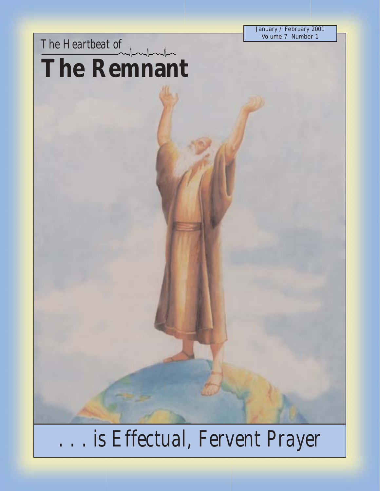January / February 2001 Volume 7 Number 1

*The Heartbeat of* **The Remnant**

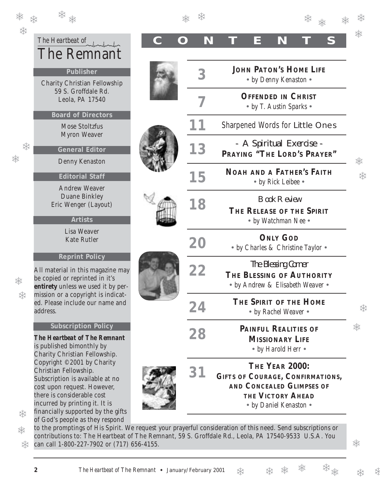| <b>紫紫</b> |                                                                                                |
|-----------|------------------------------------------------------------------------------------------------|
|           | The Heartbeat of<br><b>The Remnant</b>                                                         |
|           | Publisher<br><b>Charity Christian Fellowship</b><br>59 S. Groffdale Rd.                        |
|           | Leola, PA 17540<br><b>Board of Directors</b><br><b>Mose Stoltzfus</b>                          |
| 柒         | <b>Myron Weaver</b><br><b>General Editor</b><br>Denny Kenaston                                 |
|           | <b>Editorial Staff</b><br><b>Andrew Weaver</b><br><b>Duane Binkley</b><br>Eric Wenger (Layout) |
|           | <b>Artists</b><br>Lisa Weaver<br><b>Kate Rutler</b>                                            |
|           | <b>Reprint Policy</b><br>All material in this magazine may                                     |
|           | be copied or reprinted in it's                                                                 |

❅

❄

### **Subscription Policy**

*The Heartbeat of The Remnant* is published bimonthly by Charity Christian Fellowship. Copyright ©2001 by Charity Christian Fellowship. Subscription is available at no cost upon request. However, there is considerable cost incurred by printing it. It is financially supported by the gifts

| **                                                                                                                                                                               |  |    |                                                        |                                                                             |                                                                      |        |  |
|----------------------------------------------------------------------------------------------------------------------------------------------------------------------------------|--|----|--------------------------------------------------------|-----------------------------------------------------------------------------|----------------------------------------------------------------------|--------|--|
| The Heartbeat of $\int_{\Omega}$<br><b>The Remnant</b>                                                                                                                           |  | N  |                                                        | N<br>Е                                                                      |                                                                      |        |  |
| Publisher<br><b>Charity Christian Fellowship</b>                                                                                                                                 |  |    | <b>JOHN PATON'S HOME LIFE</b><br>• by Denny Kenaston • |                                                                             |                                                                      |        |  |
| 59 S. Groffdale Rd.<br>Leola, PA 17540                                                                                                                                           |  |    | <b>OFFENDED IN CHRIST</b>                              |                                                                             |                                                                      |        |  |
| <b>Board of Directors</b><br><b>Mose Stoltzfus</b>                                                                                                                               |  |    |                                                        | • by T. Austin Sparks •                                                     | <b>Sharpened Words for Little Ones</b>                               |        |  |
| <b>Myron Weaver</b><br><b>General Editor</b>                                                                                                                                     |  | 13 |                                                        | - A Spiritual Exercise -                                                    | PRAYING "THE LORD'S PRAYER"                                          |        |  |
| Denny Kenaston<br><b>Editorial Staff</b>                                                                                                                                         |  | 15 |                                                        | • by Rick Leibee •                                                          | <b>NOAH AND A FATHER'S FAITH</b>                                     | ☀<br>柒 |  |
| <b>Andrew Weaver</b><br><b>Duane Binkley</b><br>Eric Wenger (Layout)<br><b>Artists</b>                                                                                           |  | 18 |                                                        | <b>Book Review</b><br>$\bullet$ by Watchman Nee $\bullet$                   | THE RELEASE OF THE SPIRIT                                            |        |  |
| Lisa Weaver<br><b>Kate Rutler</b>                                                                                                                                                |  | 20 |                                                        | <b>ONLY GOD</b><br>• by Charles & Christine Taylor •                        |                                                                      |        |  |
| <b>Reprint Policy</b><br>Il material in this magazine may<br>e copied or reprinted in it's<br><b>ntirety</b> unless we used it by per-                                           |  | 22 |                                                        | <b>The Blessing Corner</b>                                                  | THE BLESSING OF AUTHORITY<br>• by Andrew & Elisabeth Weaver •        |        |  |
| ission or a copyright is indicat-<br>d. Please include our name and<br>ddress.                                                                                                   |  | 24 |                                                        | THE SPIRIT OF THE HOME<br>• by Rachel Weaver •                              |                                                                      | ☀      |  |
| <b>Subscription Policy</b><br>The Heartbeat of The Remnant<br>published bimonthly by<br>harity Christian Fellowship.                                                             |  | 28 |                                                        | <b>PAINFUL REALITIES OF</b><br><b>MISSIONARY LIFE</b><br>• by Harold Herr • |                                                                      | ☀      |  |
| Copyright ©2001 by Charity<br>hristian Fellowship.<br>ubscription is available at no<br>ost upon request. However,<br>here is considerable cost<br>ncurred by printing it. It is |  | 31 |                                                        | THE YEAR 2000:<br><b>THE VICTORY AHEAD</b><br>• by Daniel Kenaston •        | <b>GIFTS OF COURAGE, CONFIRMATIONS,</b><br>AND CONCEALED GLIMPSES OF |        |  |

to the promptings of His Spirit. We request your prayerful consideration of this need. Send subscriptions or contributions to: The Heartbeat of The Remnant, 59 S. Groffdale Rd., Leola, PA 17540-9533 U.S.A. You can call 1-800-227-7902 or (717) 656-4155. ❄

❅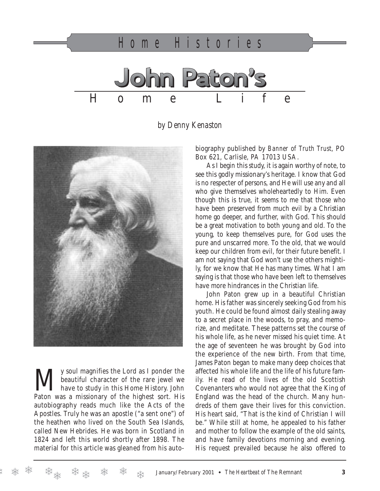

*by Denny Kenaston*



We soul magnifies the Lord as I ponder the<br>beautiful character of the rare jewel we<br>have to study in this Home History. John beautiful character of the rare jewel we have to study in this Home History. John Paton was a missionary of the highest sort. His autobiography reads much like the Acts of the Apostles. Truly he was an apostle ("a sent one") of the heathen who lived on the South Sea Islands, called New Hebrides. He was born in Scotland in 1824 and left this world shortly after 1898. The material for this article was gleaned from his autobiography published by *Banner of Truth Trust*, PO Box 621, Carlisle, PA 17013 USA.

As I begin this study, it is again worthy of note, to see this godly missionary's heritage. I know that God is no respecter of persons, and He will use any and all who give themselves wholeheartedly to Him. Even though this is true, it seems to me that those who have been preserved from much evil by a Christian home go deeper, and further, with God. This should be a great motivation to both young and old. To the young, to keep themselves pure, for God uses the pure and unscarred more. To the old, that we would keep our children from evil, for their future benefit. I am not saying that God won't use the others mightily, for we know that He has many times. What I am saying is that those who have been left to themselves have more hindrances in the Christian life.

John Paton grew up in a beautiful Christian home. His father was sincerely seeking God from his youth. He could be found almost daily stealing away to a secret place in the woods, to pray, and memorize, and meditate. These patterns set the course of his whole life, as he never missed his quiet time. At the age of seventeen he was brought by God into the experience of the new birth. From that time, James Paton began to make many deep choices that affected his whole life and the life of his future family. He read of the lives of the old Scottish Covenanters who would not agree that the King of England was the head of the church. Many hundreds of them gave their lives for this conviction. His heart said, "That is the kind of Christian I will be." While still at home, he appealed to his father and mother to follow the example of the old saints, and have family devotions morning and evening. His request prevailed because he also offered to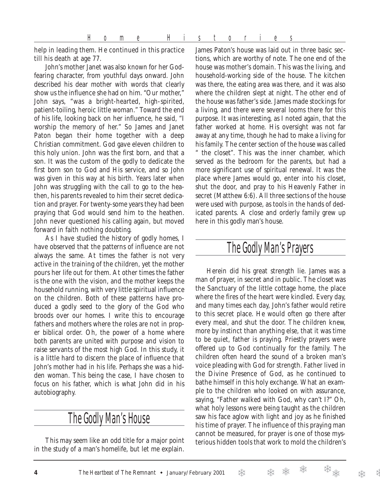help in leading them. He continued in this practice till his death at age 77.

John's mother Janet was also known for her Godfearing character, from youthful days onward. John described his dear mother with words that clearly show us the influence she had on him. "Our mother," John says, "was a bright-hearted, high-spirited, patient-toiling, heroic little woman." Toward the end of his life, looking back on her influence, he said, "I worship the memory of her." So James and Janet Paton began their home together with a deep Christian commitment. God gave eleven children to this holy union. John was the first born, and that a son. It was the custom of the godly to dedicate the first born son to God and His service, and so John was given in this way at his birth. Years later when John was struggling with the call to go to the heathen, his parents revealed to him their secret dedication and prayer. For twenty-some years they had been praying that God would send him to the heathen. John never questioned his calling again, but moved forward in faith nothing doubting.

As I have studied the history of godly homes, I have observed that the patterns of influence are not always the same. At times the father is not very active in the training of the children, yet the mother pours her life out for them. At other times the father is the one with the vision, and the mother keeps the household running, with very little spiritual influence on the children. Both of these patterns have produced a godly seed to the glory of the God who broods over our homes. I write this to encourage fathers and mothers where the roles are not in proper biblical order. Oh, the power of a home where both parents are united with purpose and vision to raise servants of the most high God. In this study, it is a little hard to discern the place of influence that John's mother had in his life. Perhaps she was a hidden woman. This being the case, I have chosen to focus on his father, which is what John did in his autobiography.

# The Godly Man's House

This may seem like an odd title for a major point in the study of a man's homelife, but let me explain. James Paton's house was laid out in three basic sections, which are worthy of note. The one end of the house was mother's domain. This was the living, and household-working side of the house. The kitchen was there, the eating area was there, and it was also where the children slept at night. The other end of the house was father's side. James made stockings for a living, and there were several looms there for this purpose. It was interesting, as I noted again, that the father worked at home. His oversight was not far away at any time, though he had to make a living for his family. The center section of the house was called " the closet". This was the inner chamber, which served as the bedroom for the parents, but had a more significant use of spiritual renewal. It was the place where James would go, enter into his closet, shut the door, and pray to his Heavenly Father in secret (Matthew 6:6). All three sections of the house were used with purpose, as tools in the hands of dedicated parents. A close and orderly family grew up here in this godly man's house.

# The Godly Man's Prayers

Herein did his great strength lie. James was a man of prayer, in secret and in public. The closet was the Sanctuary of the little cottage home, the place where the fires of the heart were kindled. Every day, and many times each day, John's father would retire to this secret place. He would often go there after every meal, and shut the door. The children knew, more by instinct than anything else, that it was time to be quiet, father is praying. Priestly prayers were offered up to God continually for the family. The children often heard the sound of a broken man's voice pleading with God for strength. Father lived in the Divine Presence of God, as he continued to bathe himself in this holy exchange. What an example to the children who looked on with assurance, saying, "Father walked with God, why can't I?" Oh, what holy lessons were being taught as the children saw his face aglow with light and joy as he finished his time of prayer. The influence of this praying man cannot be measured, for prayer is one of those mysterious hidden tools that work to mold the children's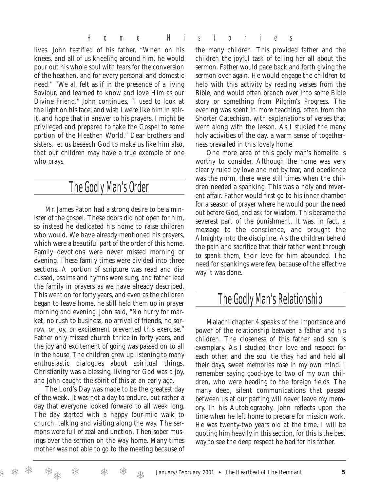Home Histories

lives. John testified of his father, "When on his knees, and all of us kneeling around him, he would pour out his whole soul with tears for the conversion of the heathen, and for every personal and domestic need." "We all felt as if in the presence of a living Saviour, and learned to know and love Him as our Divine Friend." John continues, "I used to look at the light on his face, and wish I were like him in spirit, and hope that in answer to his prayers, I might be privileged and prepared to take the Gospel to some portion of the Heathen World." Dear brothers and sisters, let us beseech God to make us like him also, that our children may have a true example of one who prays.

# The Godly Man's Order

Mr. James Paton had a strong desire to be a minister of the gospel. These doors did not open for him, so instead he dedicated his home to raise children who would. We have already mentioned his prayers, which were a beautiful part of the order of this home. Family devotions were never missed morning or evening. These family times were divided into three sections. A portion of scripture was read and discussed, psalms and hymns were sung, and father lead the family in prayers as we have already described. This went on for forty years, and even as the children began to leave home, he still held them up in prayer morning and evening. John said, "No hurry for market, no rush to business, no arrival of friends, no sorrow, or joy, or excitement prevented this exercise." Father only missed church thrice in forty years, and the joy and excitement of going was passed on to all in the house. The children grew up listening to many enthusiastic dialogues about spiritual things. Christianity was a blessing, living for God was a joy, and John caught the spirit of this at an early age.

The Lord's Day was made to be the greatest day of the week. It was not a day to endure, but rather a day that everyone looked forward to all week long. The day started with a happy four-mile walk to church, talking and visiting along the way. The sermons were full of zeal and unction. Then sober musings over the sermon on the way home. Many times mother was not able to go to the meeting because of

the many children. This provided father and the children the joyful task of telling her all about the sermon. Father would pace back and forth giving the sermon over again. He would engage the children to help with this activity by reading verses from the Bible, and would often branch over into some Bible story or something from Pilgrim's Progress. The evening was spent in more teaching, often from the Shorter Catechism, with explanations of verses that went along with the lesson. As I studied the many holy activities of the day, a warm sense of togetherness prevailed in this lovely home.

One more area of this godly man's homelife is worthy to consider. Although the home was very clearly ruled by love and not by fear, and obedience was the norm, there were still times when the children needed a spanking. This was a holy and reverent affair. Father would first go to his inner chamber for a season of prayer where he would pour the need out before God, and ask for wisdom. This became the severest part of the punishment. It was, in fact, a message to the conscience, and brought the Almighty into the discipline. As the children beheld the pain and sacrifice that their father went through to spank them, their love for him abounded. The need for spankings were few, because of the effective way it was done.

# The Godly Man's Relationship

Malachi chapter 4 speaks of the importance and power of the relationship between a father and his children. The closeness of this father and son is exemplary. As I studied their love and respect for each other, and the soul tie they had and held all their days, sweet memories rose in my own mind. I remember saying good-bye to two of my own children, who were heading to the foreign fields. The many deep, silent communications that passed between us at our parting will never leave my memory. In his Autobiography, John reflects upon the time when he left home to prepare for mission work. He was twenty-two years old at the time. I will be quoting him heavily in this section, for this is the best way to see the deep respect he had for his father.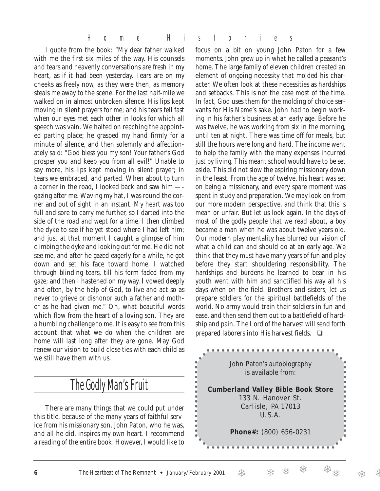Home Histories

I quote from the book: "My dear father walked with me the first six miles of the way. His counsels and tears and heavenly conversations are fresh in my heart, as if it had been yesterday. Tears are on my cheeks as freely now, as they were then, as memory steals me away to the scene. For the last half-mile we walked on in almost unbroken silence. His lips kept moving in silent prayers for me; and his tears fell fast when our eyes met each other in looks for which all speech was vain. We halted on reaching the appointed parting place; he grasped my hand firmly for a minute of silence, and then solemnly and affectionately said: "God bless you my son! Your father's God prosper you and keep you from all evil!" Unable to say more, his lips kept moving in silent prayer; in tears we embraced, and parted. When about to turn a corner in the road, I looked back and saw him — gazing after me. Waving my hat, I was round the corner and out of sight in an instant. My heart was too full and sore to carry me further, so I darted into the side of the road and wept for a time. I then climbed the dyke to see if he yet stood where I had left him; and just at that moment I caught a glimpse of him climbing the dyke and looking out for me. He did not see me, and after he gazed eagerly for a while, he got down and set his face toward home. I watched through blinding tears, till his form faded from my gaze; and then I hastened on my way. I vowed deeply and often, by the help of God, to live and act so as never to grieve or dishonor such a father and mother as he had given me." Oh, what beautiful words which flow from the heart of a loving son. They are a humbling challenge to me. It is easy to see from this account that what we do when the children are home will last long after they are gone. May God renew our vision to build close ties with each child as we still have them with us.

# The Godly Man's Fruit

There are many things that we could put under this title, because of the many years of faithful service from his missionary son. John Paton, who he was, and all he did, inspires my own heart. I recommend a reading of the entire book. However, I would like to

focus on a bit on young John Paton for a few moments. John grew up in what he called a peasant's home. The large family of eleven children created an element of ongoing necessity that molded his character. We often look at these necessities as hardships and setbacks. This is not the case most of the time. In fact, God uses them for the molding of choice servants for His Name's sake. John had to begin working in his father's business at an early age. Before he was twelve, he was working from six in the morning, until ten at night. There was time off for meals, but still the hours were long and hard. The income went to help the family with the many expenses incurred just by living. This meant school would have to be set aside. This did not slow the aspiring missionary down in the least. From the age of twelve, his heart was set on being a missionary, and every spare moment was spent in study and preparation. We may look on from our more modern perspective, and think that this is mean or unfair. But let us look again. In the days of most of the godly people that we read about, a boy became a man when he was about twelve years old. Our modern play mentality has blurred our vision of what a child can and should do at an early age. We think that they must have many years of fun and play before they start shouldering responsibility. The hardships and burdens he learned to bear in his youth went with him and sanctified his way all his days when on the field. Brothers and sisters, let us prepare soldiers for the spiritual battlefields of the world. No army would train their soldiers in fun and ease, and then send them out to a battlefield of hardship and pain. The Lord of the harvest will send forth prepared laborers into His harvest fields. ❏

John Paton's autobiography is available from: **Cumberland Valley Bible Book Store** 133 N. Hanover St. Carlisle, PA 17013 U.S.A. þ k **Phone#:** (800) 656-0231b

.....

 $\bullet$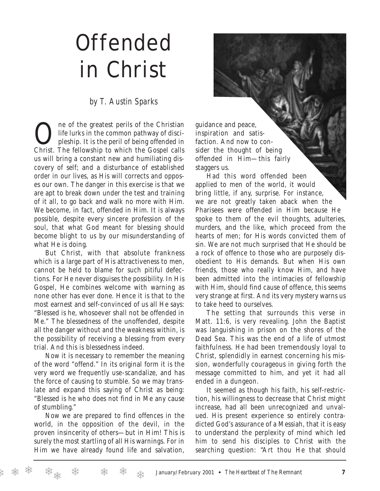# Offended in Christ

### *by T. Austin Sparks*

One of the greatest perils of the Christian<br>life lurks in the common pathway of disci-<br>pleship. It is the peril of being offended in<br>Christ. The followship to which the Gamel called life lurks in the common pathway of discipleship. It is the peril of being offended in Christ. The fellowship to which the Gospel calls us will bring a constant new and humiliating discovery of self; and a disturbance of established order in our lives, as His will corrects and opposes our own. The danger in this exercise is that we are apt to break down under the test and training of it all, to go back and walk no more with Him. We become, in fact, offended in Him. It is always possible, despite every sincere profession of the soul, that what God meant for blessing should become blight to us by our misunderstanding of what He is doing.

But Christ, with that absolute frankness which is a large part of His attractiveness to men, cannot be held to blame for such pitiful defections. For He never disguises the possibility. In His Gospel, He combines welcome with warning as none other has ever done. Hence it is that to the most earnest and self-convinced of us all He says: "Blessed is he, whosoever shall not be offended in Me." The blessedness of the unoffended, despite all the danger without and the weakness within, is the possibility of receiving a blessing from every trial. And this is blessedness indeed.

Now it is necessary to remember the meaning of the word "offend." In its original form it is the very word we frequently use-scandalize, and has the force of causing to stumble. So we may translate and expand this saying of Christ as being: "Blessed is he who does not find in Me any cause of stumbling."

Now we are prepared to find offences in the world, in the opposition of the devil, in the proven insincerity of others—but in Him! This is surely the most startling of all His warnings. For in Him we have already found life and salvation,

❄

guidance and peace, inspiration and satisfaction. And now to consider the thought of being offended in Him—this fairly staggers us.

Had this word offended been applied to men of the world, it would bring little, if any, surprise. For instance, we are not greatly taken aback when the Pharisees were offended in Him because He spoke to them of the evil thoughts, adulteries, murders, and the like, which proceed from the hearts of men; for His words convicted them of sin. We are not much surprised that He should be a rock of offence to those who are purposely disobedient to His demands. But when His own friends, those who really know Him, and have been admitted into the intimacies of fellowship with Him, should find cause of offence, this seems very strange at first. And its very mystery warns us to take heed to ourselves.

The setting that surrounds this verse in Matt. 11:6, is very revealing. John the Baptist was languishing in prison on the shores of the Dead Sea. This was the end of a life of utmost faithfulness. He had been tremendously loyal to Christ, splendidly in earnest concerning his mission, wonderfully courageous in giving forth the message committed to him, and yet it had all ended in a dungeon.

It seemed as though his faith, his self-restriction, his willingness to decrease that Christ might increase, had all been unrecognized and unvalued. His present experience so entirely contradicted God's assurance of a Messiah, that it is easy to understand the perplexity of mind which led him to send his disciples to Christ with the searching question: "Art thou He that should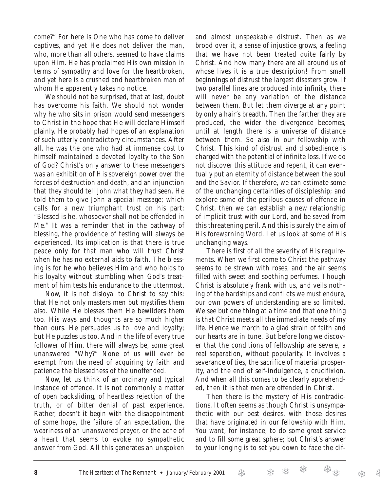come?" For here is One who has come to deliver captives, and yet He does not deliver the man, who, more than all others, seemed to have claims upon Him. He has proclaimed His own mission in terms of sympathy and love for the heartbroken, and yet here is a crushed and heartbroken man of whom He apparently takes no notice.

We should not be surprised, that at last, doubt has overcome his faith. We should not wonder why he who sits in prison would send messengers to Christ in the hope that He will declare Himself plainly. He probably had hopes of an explanation of such utterly contradictory circumstances. After all, he was the one who had at immense cost to himself maintained a devoted loyalty to the Son of God? Christ's only answer to these messengers was an exhibition of His sovereign power over the forces of destruction and death, and an injunction that they should tell John what they had seen. He told them to give John a special message; which calls for a new triumphant trust on his part: "Blessed is he, whosoever shall not be offended in Me." It was a reminder that in the pathway of blessing, the providence of testing will always be experienced. Its implication is that there is true peace only for that man who will trust Christ when he has no external aids to faith. The blessing is for he who believes Him and who holds to his loyalty without stumbling when God's treatment of him tests his endurance to the uttermost.

Now, it is not disloyal to Christ to say this: that He not only masters men but mystifies them also. While He blesses them He bewilders them too. His ways and thoughts are so much higher than ours. He persuades us to love and loyalty; but He puzzles us too. And in the life of every true follower of Him, there will always be, some great unanswered "Why?" None of us will ever be exempt from the need of acquiring by faith and patience the blessedness of the unoffended.

Now, let us think of an ordinary and typical instance of offence. It is not commonly a matter of open backsliding, of heartless rejection of the truth, or of bitter denial of past experience. Rather, doesn't it begin with the disappointment of some hope, the failure of an expectation, the weariness of an unanswered prayer, or the ache of a heart that seems to evoke no sympathetic answer from God. All this generates an unspoken

and almost unspeakable distrust. Then as we brood over it, a sense of injustice grows, a feeling that we have not been treated quite fairly by Christ. And how many there are all around us of whose lives it is a true description! From small beginnings of distrust the largest disasters grow. If two parallel lines are produced into infinity, there will never be any variation of the distance between them. But let them diverge at any point by only a hair's breadth. Then the farther they are produced, the wider the divergence becomes, until at length there is a universe of distance between them. So also in our fellowship with Christ. This kind of distrust and disobedience is charged with the potential of infinite loss. If we do not discover this attitude and repent, it can eventually put an eternity of distance between the soul and the Savior. If therefore, we can estimate some of the unchanging certainties of discipleship; and explore some of the perilous causes of offence in Christ, then we can establish a new relationship of implicit trust with our Lord, and be saved from this threatening peril. And this is surely the aim of His forewarning Word. Let us look at some of His unchanging ways.

There is first of all the severity of His requirements. When we first come to Christ the pathway seems to be strewn with roses, and the air seems filled with sweet and soothing perfumes. Though Christ is absolutely frank with us, and veils nothing of the hardships and conflicts we must endure, our own powers of understanding are so limited. We see but one thing at a time and that one thing is that Christ meets all the immediate needs of my life. Hence we march to a glad strain of faith and our hearts are in tune. But before long we discover that the conditions of fellowship are severe, a real separation, without popularity. It involves a severance of ties, the sacrifice of material prosperity, and the end of self-indulgence, a crucifixion. And when all this comes to be clearly apprehended, then it is that men are offended in Christ.

Then there is the mystery of His contradictions. It often seems as though Christ is unsympathetic with our best desires, with those desires that have originated in our fellowship with Him. You want, for instance, to do some great service and to fill some great sphere; but Christ's answer to your longing is to set you down to face the dif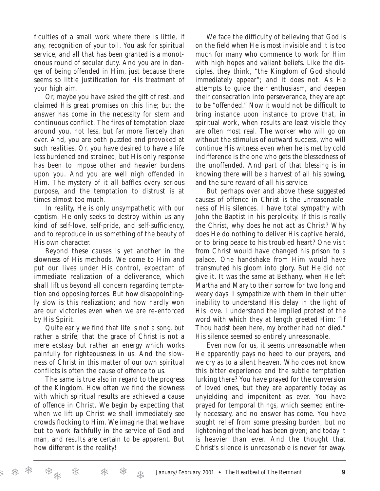ficulties of a small work where there is little, if any, recognition of your toil. You ask for spiritual service, and all that has been granted is a monotonous round of secular duty. And you are in danger of being offended in Him, just because there seems so little justification for His treatment of your high aim.

Or, maybe you have asked the gift of rest, and claimed His great promises on this line; but the answer has come in the necessity for stern and continuous conflict. The fires of temptation blaze around you, not less, but far more fiercely than ever. And, you are both puzzled and provoked at such realities. Or, you have desired to have a life less burdened and strained, but His only response has been to impose other and heavier burdens upon you. And you are well nigh offended in Him. The mystery of it all baffles every serious purpose, and the temptation to distrust is at times almost too much.

In reality, He is only unsympathetic with our egotism. He only seeks to destroy within us any kind of self-love, self-pride, and self-sufficiency, and to reproduce in us something of the beauty of His own character.

Beyond these causes is yet another in the slowness of His methods. We come to Him and put our lives under His control, expectant of immediate realization of a deliverance, which shall lift us beyond all concern regarding temptation and opposing forces. But how disappointingly slow is this realization; and how hardly won are our victories even when we are re-enforced by His Spirit.

Quite early we find that life is not a song, but rather a strife; that the grace of Christ is not a mere ecstasy but rather an energy which works painfully for righteousness in us. And the slowness of Christ in this matter of our own spiritual conflicts is often the cause of offence to us.

The same is true also in regard to the progress of the Kingdom. How often we find the slowness with which spiritual results are achieved a cause of offence in Christ. We begin by expecting that when we lift up Christ we shall immediately see crowds flocking to Him. We imagine that we have but to work faithfully in the service of God and man, and results are certain to be apparent. But how different is the reality!

We face the difficulty of believing that God is on the field when He is most invisible and it is too much for many who commence to work for Him with high hopes and valiant beliefs. Like the disciples, they think, "the Kingdom of God should immediately appear"; and it does not. As He attempts to guide their enthusiasm, and deepen their consecration into perseverance, they are apt to be "offended." Now it would not be difficult to bring instance upon instance to prove that, in spiritual work, when results are least visible they are often most real. The worker who will go on without the stimulus of outward success, who will continue His witness even when he is met by cold indifference is the one who gets the blessedness of the unoffended. And part of that blessing is in knowing there will be a harvest of all his sowing, and the sure reward of all his service.

But perhaps over and above these suggested causes of offence in Christ is the unreasonableness of His silences. I have total sympathy with John the Baptist in his perplexity. If this is really the Christ, why does he not act as Christ? Why does He do nothing to deliver His captive herald, or to bring peace to his troubled heart? One visit from Christ would have changed his prison to a palace. One handshake from Him would have transmuted his gloom into glory. But He did not give it. It was the same at Bethany, when He left Martha and Mary to their sorrow for two long and weary days. I sympathize with them in their utter inability to understand His delay in the light of His love. I understand the implied protest of the word with which they at length greeted Him: "If Thou hadst been here, my brother had not died." His silence seemed so entirely unreasonable.

Even now for us, it seems unreasonable when He apparently pays no heed to our prayers, and we cry as to a silent heaven. Who does not know this bitter experience and the subtle temptation lurking there? You have prayed for the conversion of loved ones, but they are apparently today as unyielding and impenitent as ever. You have prayed for temporal things, which seemed entirely necessary, and no answer has come. You have sought relief from some pressing burden, but no lightening of the load has been given; and today it is heavier than ever. And the thought that Christ's silence is unreasonable is never far away.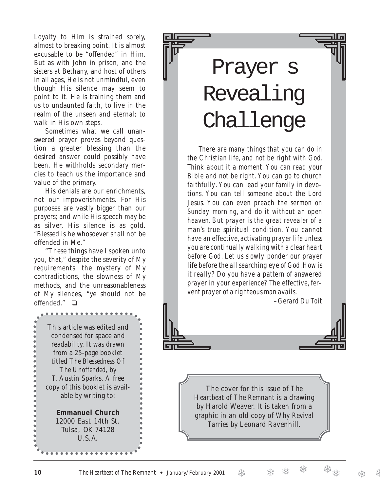Loyalty to Him is strained sorely, almost to breaking point. It is almost excusable to be "offended" in Him. But as with John in prison, and the sisters at Bethany, and host of others in all ages, He is not unmindful, even though His silence may seem to point to it. He is training them and us to undaunted faith, to live in the realm of the unseen and eternal; to walk in His own steps.

Sometimes what we call unanswered prayer proves beyond question a greater blessing than the desired answer could possibly have been. He withholds secondary mercies to teach us the importance and value of the primary.

His denials are our enrichments, not our impoverishments. For His purposes are vastly bigger than our prayers; and while His speech may be as silver, His silence is as gold. "Blessed is he whosoever shall not be offended in Me."

"These things have I spoken unto you, that," despite the severity of My requirements, the mystery of My contradictions, the slowness of My methods, and the unreasonableness of My silences, "ye should not be offended." ❏

This article was edited and condensed for space and readability. It was drawn from a 25-page booklet titled *The Blessedness Of The Unoffended*, by T. Austin Sparks. A free copy of this booklet is available by writing to: **Emmanuel Church** 12000 East 14th St. Tulsa, OK 74128 U.S.A.

Prayer s Revealing Challenge

There are many things that you can do in the Christian life, and not be right with God. Think about it a moment. You can read your Bible and not be right. You can go to church faithfully. You can lead your family in devotions. You can tell someone about the Lord Jesus. You can even preach the sermon on Sunday morning, and do it without an open heaven. But prayer is the great revealer of a man's true spiritual condition. You cannot have an effective, activating prayer life unless you are continually walking with a clear heart before God. Let us slowly ponder our prayer life before the all searching eye of God. How is it really? Do you have a pattern of answered prayer in your experience? The effective, fervent prayer of a righteous man avails.

–Gerard Du Toit

The cover for this issue of *The Heartbeat of The Remnant* is a drawing by Harold Weaver. It is taken from a graphic in an old copy of *Why Revival Tarries* by Leonard Ravenhill.

 $\ddot{\bullet}$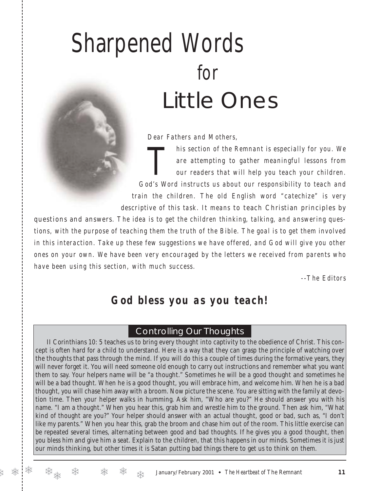# Sharpened Words for Little Ones

*Dear Fathers and Mothers,*

*This section of the Remnant is especially for you. We*<br>are attempting to gather meaningful lessons from<br>our readers that will help you teach your children. *are attempting to gather meaningful lessons from our readers that will help you teach your children. God's Word instructs us about our responsibility to teach and train the children. The old English word "catechize" is very descriptive of this task. It means* to teach Christian principles by

questions and answers*. The idea is to get the children thinking, talking, and answering questions, with the purpose of teaching them the truth of the Bible. The goal is to get them involved in this interaction. Take up these few suggestions we have offered, and God will give you other ones on your own. We have been very encouraged by the letters we received from parents who have been using this section, with much success.*

*--The Editors*

# *God bless you as you teach!*

### Controlling Our Thoughts

II Corinthians 10: 5 teaches us to bring every thought into captivity to the obedience of Christ. This concept is often hard for a child to understand. Here is a way that they can grasp the principle of watching over the thoughts that pass through the mind. If you will do this a couple of times during the formative years, they will never forget it. You will need someone old enough to carry out instructions and remember what you want them to say. Your helpers name will be "a thought." Sometimes he will be a good thought and sometimes he will be a bad thought. When he is a good thought, you will embrace him, and welcome him. When he is a bad thought, you will chase him away with a broom. Now picture the scene. You are sitting with the family at devotion time. Then your helper walks in humming. Ask him, "Who are you?" He should answer you with his name. "I am a thought." When you hear this, grab him and wrestle him to the ground. Then ask him, "What kind of thought are you?" Your helper should answer with an actual thought, good or bad, such as, "I don't like my parents." When you hear this, grab the broom and chase him out of the room. This little exercise can be repeated several times, alternating between good and bad thoughts. If he gives you a good thought, then you bless him and give him a seat. Explain to the children, that this happens in our minds. Sometimes it is just our minds thinking, but other times it is Satan putting bad things there to get us to think on them.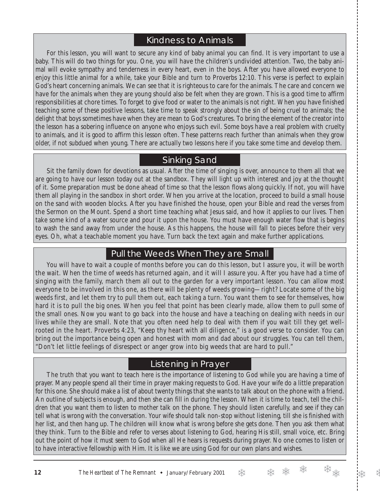## Kindness to Animals

For this lesson, you will want to secure any kind of baby animal you can find. It is very important to use a baby. This will do two things for you. One, you will have the children's undivided attention. Two, the baby animal will evoke sympathy and tenderness in every heart, even in the boys. After you have allowed everyone to enjoy this little animal for a while, take your Bible and turn to Proverbs 12:10. This verse is perfect to explain God's heart concerning animals. We can see that it is righteous to care for the animals. The care and concern we have for the animals when they are young should also be felt when they are grown. This is a good time to affirm responsibilities at chore times. To forget to give food or water to the animals is not right. When you have finished teaching some of these positive lessons, take time to speak strongly about the sin of being cruel to animals; the delight that boys sometimes have when they are mean to God's creatures. To bring the element of the creator into the lesson has a sobering influence on anyone who enjoys such evil. Some boys have a real problem with cruelty to animals, and it is good to affirm this lesson often. These patterns reach further than animals when they grow older, if not subdued when young. There are actually two lessons here if you take some time and develop them.

### Sinking Sand

Sit the family down for devotions as usual. After the time of singing is over, announce to them all that we are going to have our lesson today out at the sandbox. They will light up with interest and joy at the thought of it. Some preparation must be done ahead of time so that the lesson flows along quickly. If not, you will have them all playing in the sandbox in short order. When you arrive at the location, proceed to build a small house on the sand with wooden blocks. After you have finished the house, open your Bible and read the verses from the Sermon on the Mount. Spend a short time teaching what Jesus said, and how it applies to our lives. Then take some kind of a water source and pour it upon the house. You must have enough water flow that is begins to wash the sand away from under the house. As this happens, the house will fall to pieces before their very eyes. Oh, what a teachable moment you have. Turn back the text again and make further applications.

### Pull the Weeds When They are Small

You will have to wait a couple of months before you can do this lesson, but I assure you, it will be worth the wait. When the time of weeds has returned again, and it will I assure you. After you have had a time of singing with the family, march them all out to the garden for a very important lesson. You can allow most everyone to be involved in this one, as there will be plenty of weeds growing—right? Locate some of the big weeds first, and let them try to pull them out, each taking a turn. You want them to see for themselves, how hard it is to pull the big ones. When you feel that point has been clearly made, allow them to pull some of the small ones. Now you want to go back into the house and have a teaching on dealing with needs in our lives while they are small. Note that you often need help to deal with them if you wait till they get wellrooted in the heart. Proverbs 4:23, "Keep thy heart with all diligence," is a good verse to consider. You can bring out the importance being open and honest with mom and dad about our struggles. You can tell them, "Don't let little feelings of disrespect or anger grow into big weeds that are hard to pull."

## Listening in Prayer

The truth that you want to teach here is the importance of listening to God while you are having a time of prayer. Many people spend all their time in prayer making requests to God. Have your wife do a little preparation for this one. She should make a list of about twenty things that she wants to talk about on the phone with a friend. An outline of subjects is enough, and then she can fill in during the lesson. When it is time to teach, tell the children that you want them to listen to mother talk on the phone. They should listen carefully, and see if they can tell what is wrong with the conversation. Your wife should talk non-stop without listening, till she is finished with her list, and then hang up. The children will know what is wrong before she gets done. Then you ask them what they think. Turn to the Bible and refer to verses about listening to God, hearing His still, small voice, etc. Bring out the point of how it must seem to God when all He hears is requests during prayer. No one comes to listen or to have interactive fellowship with Him. It is like we are using God for our own plans and wishes.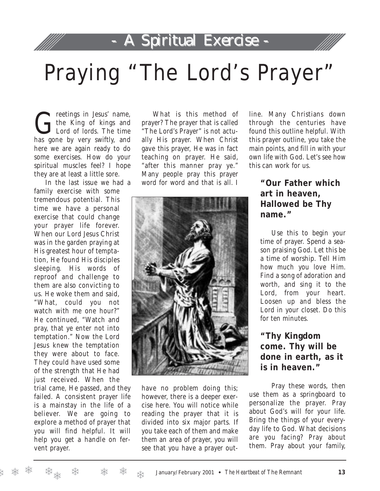# - A Spiritual Exercise - - A Spiritual Exercise -



# Praying "The Lord's Prayer"

The King of kings and the King of kings and Lord of lords. The time has gone by very swiftly, and here we are again ready to do some exercises. How do your spiritual muscles feel? I hope they are at least a little sore.

In the last issue we had a family exercise with some tremendous potential. This time we have a personal exercise that could change your prayer life forever. When our Lord Jesus Christ was in the garden praying at His greatest hour of temptation, He found His disciples sleeping. His words of reproof and challenge to them are also convicting to us. He woke them and said, "What, could you not watch with me one hour?" He continued, "Watch and pray, that ye enter not into temptation." Now the Lord Jesus knew the temptation they were about to face. They could have used some of the strength that He had just received. When the

trial came, He passed, and they failed. A consistent prayer life is a mainstay in the life of a believer. We are going to explore a method of prayer that you will find helpful. It will help you get a handle on fervent prayer.

What is this method of prayer? The prayer that is called "The Lord's Prayer" is not actually His prayer. When Christ gave this prayer, He was in fact teaching on prayer. He said, "after this manner pray ye." Many people pray this prayer word for word and that is all. I



have no problem doing this; however, there is a deeper exercise here. You will notice while reading the prayer that it is divided into six major parts. If you take each of them and make them an area of prayer, you will see that you have a prayer outline. Many Christians down through the centuries have found this outline helpful. With this prayer outline, you take the main points, and fill in with your own life with God. Let's see how this can work for us.

### **"Our Father which art in heaven, Hallowed be Thy name."**

Use this to begin your time of prayer. Spend a season praising God. Let this be a time of worship. Tell Him how much you love Him. Find a song of adoration and worth, and sing it to the Lord, from your heart. Loosen up and bless the Lord in your closet. Do this for ten minutes.

**"Thy Kingdom come. Thy will be done in earth, as it is in heaven."**

Pray these words, then use them as a springboard to personalize the prayer. Pray about God's will for your life. Bring the things of your everyday life to God. What decisions are you facing? Pray about them. Pray about your family,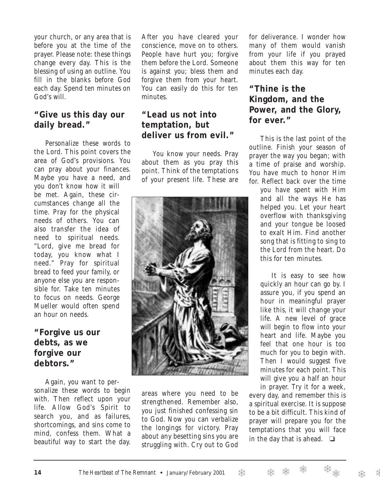your church, or any area that is before you at the time of the prayer. Please note: these things change every day. This is the blessing of using an outline. You fill in the blanks before God each day. Spend ten minutes on God's will.

### **"Give us this day our daily bread."**

Personalize these words to the Lord. This point covers the area of God's provisions. You can pray about your finances. Maybe you have a need, and you don't know how it will be met. Again, these circumstances change all the time. Pray for the physical needs of others. You can also transfer the idea of need to spiritual needs. "Lord, give me bread for today, you know what I need." Pray for spiritual bread to feed your family, or anyone else you are responsible for. Take ten minutes to focus on needs. George Mueller would often spend an hour on needs.

**"Forgive us our debts, as we forgive our debtors."**

Again, you want to personalize these words to begin with. Then reflect upon your life. Allow God's Spirit to search you, and as failures, shortcomings, and sins come to mind, confess them. What a beautiful way to start the day.

After you have cleared your conscience, move on to others. People have hurt you; forgive them before the Lord. Someone is against you; bless them and forgive them from your heart. You can easily do this for ten minutes.

## **"Lead us not into temptation, but deliver us from evil."**

You know your needs. Pray about them as you pray this point. Think of the temptations of your present life. These are



areas where you need to be strengthened. Remember also, you just finished confessing sin to God. Now you can verbalize the longings for victory. Pray about any besetting sins you are struggling with. Cry out to God for deliverance. I wonder how many of them would vanish from your life if you prayed about them this way for ten minutes each day.

### **"Thine is the Kingdom, and the Power, and the Glory, for ever."**

This is the last point of the outline. Finish your season of prayer the way you began; with a time of praise and worship. You have much to honor Him for. Reflect back over the time

you have spent with Him and all the ways He has helped you. Let your heart overflow with thanksgiving and your tongue be loosed to exalt Him. Find another song that is fitting to sing to the Lord from the heart. Do this for ten minutes.

It is easy to see how quickly an hour can go by. I assure you, if you spend an hour in meaningful prayer like this, it will change your life. A new level of grace will begin to flow into your heart and life. Maybe you feel that one hour is too much for you to begin with. Then I would suggest five minutes for each point. This will give you a half an hour in prayer. Try it for a week,

every day, and remember this is a spiritual exercise. It is suppose to be a bit difficult. This kind of prayer will prepare you for the temptations that you will face in the day that is ahead.  $\Box$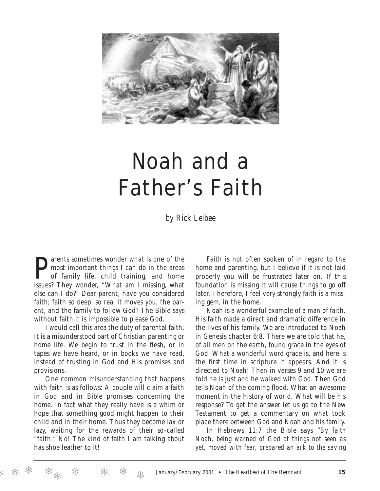

# Noah and a Father's Faith

*by Rick Leibee*

**P** arents sometimes wonder what is one of the most important things I can do in the areas of family life, child training, and home issues? They wonder, "What am I missing, what arents sometimes wonder what is one of the most important things I can do in the areas of family life, child training, and home else can I do?" Dear parent, have you considered faith; faith so deep, so real it moves you, the parent, and the family to follow God? The Bible says without faith it is impossible to please God.

I would call this area the duty of parental faith. It is a misunderstood part of Christian parenting or home life. We begin to trust in the flesh, or in tapes we have heard, or in books we have read, instead of trusting in God and His promises and provisions.

One common misunderstanding that happens with faith is as follows: A couple will claim a faith in God and in Bible promises concerning the home. In fact what they really have is a whim or hope that something good might happen to their child and in their home. Thus they become lax or lazy, waiting for the rewards of their so-called "faith." No! The kind of faith I am talking about has shoe leather to it!

Faith is not often spoken of in regard to the home and parenting, but I believe if it is not laid properly you will be frustrated later on. If this foundation is missing it will cause things to go off later. Therefore, I feel very strongly faith is a missing gem, in the home.

Noah is a wonderful example of a man of faith. His faith made a direct and dramatic difference in the lives of his family. We are introduced to Noah in Genesis chapter 6:8. There we are told that he, of all men on the earth, found grace in the eyes of God. What a wonderful word grace is, and here is the first time in scripture it appears. And it is directed to Noah! Then in verses 9 and 10 we are told he is just and he walked with God. Then God tells Noah of the coming flood. What an awesome moment in the history of world. What will be his response? To get the answer let us go to the New Testament to get a commentary on what took place there between God and Noah and his family.

In Hebrews 11:7 the Bible says "*By faith Noah, being warned of God of things not seen as yet, moved with fear, prepared an ark to the saving*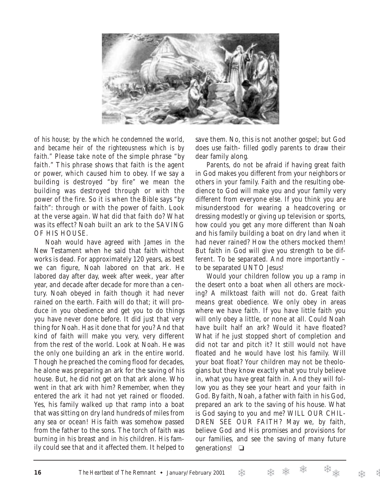

*of his house; by the which he condemned the world, and became heir of the righteousness which is by faith."* Please take note of the simple phrase "by faith." This phrase shows that faith is the agent or power, which caused him to obey. If we say a building is destroyed "by fire" we mean the building was destroyed through or with the power of the fire. So it is when the Bible says "by faith": through or with the power of faith. Look at the verse again. What did that faith do? What was its effect? Noah built an ark to the SAVING OF HIS HOUSE.

Noah would have agreed with James in the New Testament when he said that faith without works is dead. For approximately 120 years, as best we can figure, Noah labored on that ark. He labored day after day, week after week, year after year, and decade after decade for more than a century. Noah obeyed in faith though it had never rained on the earth. Faith will do that; it will produce in you obedience and get you to do things you have never done before. It did just that very thing for Noah. Has it done that for you? And that kind of faith will make you very, very different from the rest of the world. Look at Noah. He was the only one building an ark in the entire world. Though he preached the coming flood for decades, he alone was preparing an ark for the saving of his house. But, he did not get on that ark alone. Who went in that ark with him? Remember, when they entered the ark it had not yet rained or flooded. Yes, his family walked up that ramp into a boat that was sitting on dry land hundreds of miles from any sea or ocean! His faith was somehow passed from the father to the sons. The torch of faith was burning in his breast and in his children. His family could see that and it affected them. It helped to

save them. No, this is not another gospel; but God does use faith- filled godly parents to draw their dear family along.

Parents, do not be afraid if having great faith in God makes you different from your neighbors or others in your family. Faith and the resulting obedience to God will make you and your family very different from everyone else. If you think you are misunderstood for wearing a headcovering or dressing modestly or giving up television or sports, how could you get any more different than Noah and his family building a boat on dry land when it had never rained? How the others mocked them! But faith in God will give you strength to be different. To be separated. And more importantly – to be separated UNTO Jesus!

Would your children follow you up a ramp in the desert onto a boat when all others are mocking? A milktoast faith will not do. Great faith means great obedience. We only obey in areas where we have faith. If you have little faith you will only obey a little, or none at all. Could Noah have built half an ark? Would it have floated? What if he just stopped short of completion and did not tar and pitch it? It still would not have floated and he would have lost his family. Will your boat float? Your children may not be theologians but they know exactly what you truly believe in, what you have great faith in. And they will follow you as they see your heart and your faith in God. By faith, Noah, a father with faith in his God, prepared an ark to the saving of his house. What is God saying to you and me? WILL OUR CHIL-DREN SEE OUR FAITH? May we, by faith, believe God and His promises and provisions for our families, and see the saving of many future generations! ❏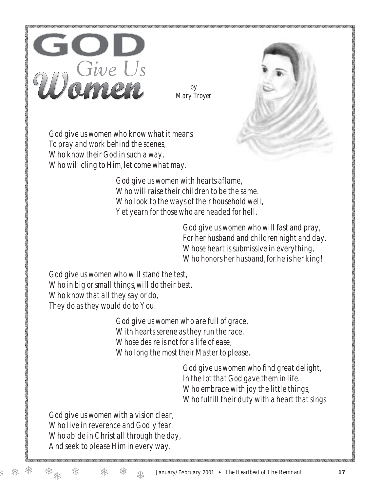

*by Mary Troyer*



God give us women who know what it means To pray and work behind the scenes, Who know their God in such a way, Who will cling to Him, let come what may.

> God give us women with hearts aflame, Who will raise their children to be the same. Who look to the ways of their household well, Yet yearn for those who are headed for hell.

> > God give us women who will fast and pray, For her husband and children night and day. Whose heart is submissive in everything, Who honors her husband, for he is her king!

God give us women who will stand the test, Who in big or small things, will do their best. Who know that all they say or do, They do as they would do to You.

> God give us women who are full of grace, With hearts serene as they run the race. Whose desire is not for a life of ease, Who long the most their Master to please.

> > God give us women who find great delight, In the lot that God gave them in life. Who embrace with joy the little things, Who fulfill their duty with a heart that sings.

God give us women with a vision clear, Who live in reverence and Godly fear. Who abide in Christ all through the day, And seek to please Him in every way.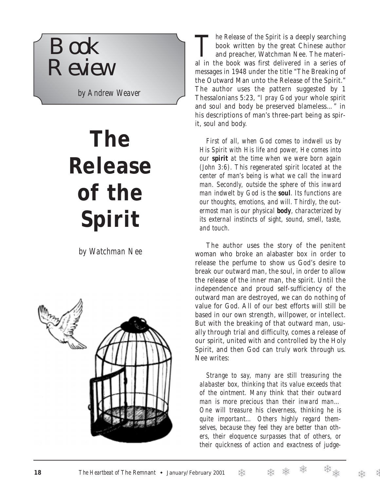

*by Andrew Weaver*

# **The Release of the Spirit**

*by Watchman Nee*



*The Release of the Spirit* is a deeply searching<br>book written by the great Chinese author<br>and preacher, Watchman Nee. The material book written by the great Chinese author and preacher, Watchman Nee. The material in the book was first delivered in a series of messages in 1948 under the title "The Breaking of the Outward Man unto the Release of the Spirit." The author uses the pattern suggested by 1 Thessalonians 5:23, "*I pray God* your whole spirit and soul and body be preserved blameless…" in his descriptions of man's three-part being as spirit, soul and body.

*First of all, when God comes to indwell us by His Spirit with His life and power, He comes into our spirit at the time when we were born again (John 3:6). This regenerated spirit located at the center of man's being is what we call the inward man. Secondly, outside the sphere of this inward man indwelt by God is the soul. Its functions are our thoughts, emotions, and will. Thirdly, the outermost man is our physical body, characterized by its external instincts of sight, sound, smell, taste, and touch.*

The author uses the story of the penitent woman who broke an alabaster box in order to release the perfume to show us God's desire to break our outward man, the soul, in order to allow the release of the inner man, the spirit. Until the independence and proud self-sufficiency of the outward man are destroyed, we can do nothing of value for God. All of our best efforts will still be based in our own strength, willpower, or intellect. But with the breaking of that outward man, usually through trial and difficulty, comes a release of our spirit, united with and controlled by the Holy Spirit, and then God can truly work through us. Nee writes:

*Strange to say, many are still treasuring the alabaster box, thinking that its value exceeds that of the ointment. Many think that their outward man is more precious than their inward man… One will treasure his cleverness, thinking he is quite important… Others highly regard themselves, because they feel they are better than others, their eloquence surpasses that of others, or their quickness of action and exactness of judge-*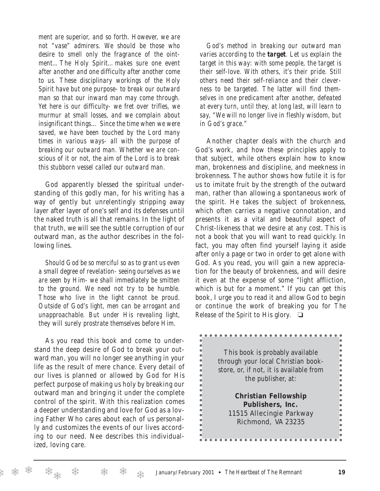*ment are superior, and so forth. However, we are not "vase" admirers. We should be those who desire to smell only the fragrance of the ointment…The Holy Spirit…makes sure one event after another and one difficulty after another come to us. These disciplinary workings of the Holy Spirit have but one purpose- to break our outward man so that our inward man may come through. Yet here is our difficulty- we fret over trifles, we murmur at small losses, and we complain about insignificant things… Since the time when we were saved, we have been touched by the Lord many times in various ways- all with the purpose of breaking our outward man. Whether we are conscious of it or not, the aim of the Lord is to break this stubborn vessel called our outward man.*

God apparently blessed the spiritual understanding of this godly man, for his writing has a way of gently but unrelentingly stripping away layer after layer of one's self and its defenses until the naked truth is all that remains. In the light of that truth, we will see the subtle corruption of our outward man, as the author describes in the following lines.

*Should God be so merciful so as to grant us even a small degree of revelation- seeing ourselves as we are seen by Him- we shall immediately be smitten to the ground. We need not try to be humble. Those who live in the light cannot be proud. Outside of God's light, men can be arrogant and unapproachable. But under His revealing light, they will surely prostrate themselves before Him.* 

As you read this book and come to understand the deep desire of God to break your outward man, you will no longer see anything in your life as the result of mere chance. Every detail of our lives is planned or allowed by God for His perfect purpose of making us holy by breaking our outward man and bringing it under the complete control of the spirit. With this realization comes a deeper understanding and love for God as a loving Father Who cares about each of us personally and customizes the events of our lives according to our need. Nee describes this individualized, loving care.

*God's method in breaking our outward man varies according to the target. Let us explain the target in this way: with some people, the target is their self-love. With others, it's their pride. Still others need their self-reliance and their cleverness to be targeted. The latter will find themselves in one predicament after another, defeated at every turn, until they, at long last, will learn to say, "We will no longer live in fleshly wisdom, but in God's grace."*

Another chapter deals with the church and God's work, and how these principles apply to that subject, while others explain how to know man, brokenness and discipline, and meekness in brokenness. The author shows how futile it is for us to imitate fruit by the strength of the outward man, rather than allowing a spontaneous work of the spirit. He takes the subject of brokenness, which often carries a negative connotation, and presents it as a vital and beautiful aspect of Christ-likeness that we desire at any cost. This is not a book that you will want to read quickly. In fact, you may often find yourself laying it aside after only a page or two in order to get alone with God. As you read, you will gain a new appreciation for the beauty of brokenness, and will desire it even at the expense of some "light affliction, which is but for a moment." If you can get this book, I urge you to read it and allow God to begin or continue the work of breaking you for *The Release of the Spirit* to His glory*.* ❏

| This book is probably available<br>through your local Christian book-<br>store, or, if not, it is available from<br>the publisher, at: |  |
|----------------------------------------------------------------------------------------------------------------------------------------|--|
| <b>Christian Fellowship</b>                                                                                                            |  |
| Publishers, Inc.                                                                                                                       |  |
| 11515 Allecingie Parkway                                                                                                               |  |
| Richmond, VA 23235                                                                                                                     |  |
|                                                                                                                                        |  |
|                                                                                                                                        |  |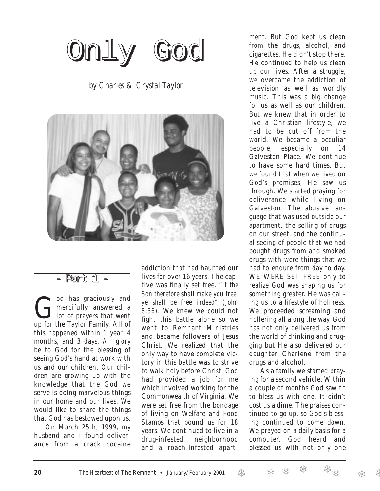Only God

*by Charles & Crystal Taylor*



- Part 1 -

God has graciously and<br>
mercifully answered a<br>
up for the Taylor Family All of mercifully answered a up for the Taylor Family. All of this happened within 1 year, 4 months, and 3 days. All glory be to God for the blessing of seeing God's hand at work with us and our children. Our children are growing up with the knowledge that the God we serve is doing marvelous things in our home and our lives. We would like to share the things that God has bestowed upon us.

On March 25th, 1999, my husband and I found deliverance from a crack cocaine

addiction that had haunted our lives for over 16 years. The captive was finally set free. "*If the Son therefore shall make you free, ye shall be free indeed" (John 8:36).* We knew we could not fight this battle alone so we went to Remnant Ministries and became followers of Jesus Christ. We realized that the only way to have complete victory in this battle was to strive to walk holy before Christ. God had provided a job for me which involved working for the Commonwealth of Virginia. We were set free from the bondage of living on Welfare and Food Stamps that bound us for 18 years. We continued to live in a drug-infested neighborhood and a roach-infested apart-

ment. But God kept us clean from the drugs, alcohol, and cigarettes. He didn't stop there. He continued to help us clean up our lives. After a struggle, we overcame the addiction of television as well as worldly music. This was a big change for us as well as our children. But we knew that in order to live a Christian lifestyle, we had to be cut off from the world. We became a peculiar people, especially on 14 Galveston Place. We continue to have some hard times. But we found that when we lived on God's promises, He saw us through. We started praying for deliverance while living on Galveston. The abusive language that was used outside our apartment, the selling of drugs on our street, and the continual seeing of people that we had bought drugs from and smoked drugs with were things that we had to endure from day to day. WE WERE SET FREE only to realize God was shaping us for something greater. He was calling us to a lifestyle of holiness. We proceeded screaming and hollering all along the way. God has not only delivered us from the world of drinking and drugging but He also delivered our daughter Charlene from the drugs and alcohol.

As a family we started praying for a second vehicle. Within a couple of months God saw fit to bless us with one. It didn't cost us a dime. The praises continued to go up, so God's blessing continued to come down. We prayed on a daily basis for a computer. God heard and blessed us with not only one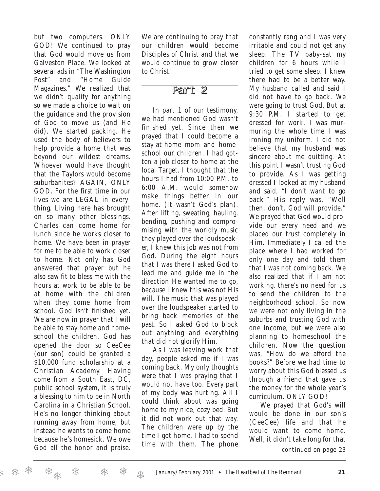but two computers. ONLY GOD! We continued to pray that God would move us from Galveston Place. We looked at several ads in "The Washington Post" and "Home Guide Magazines." We realized that we didn't qualify for anything so we made a choice to wait on the guidance and the provision of God to move us (and He did). We started packing. He used the body of believers to help provide a home that was beyond our wildest dreams. Whoever would have thought that the Taylors would become suburbanites? AGAIN, ONLY GOD. For the first time in our lives we are LEGAL in everything. Living here has brought on so many other blessings. Charles can come home for lunch since he works closer to home. We have been in prayer for me to be able to work closer to home. Not only has God answered that prayer but he also saw fit to bless me with the hours at work to be able to be at home with the children when they come home from school. God isn't finished yet. We are now in prayer that I will be able to stay home and homeschool the children. God has opened the door so CeeCee (our son) could be granted a \$10,000 fund scholarship at a Christian Academy. Having come from a South East, DC, public school system, it is truly a blessing to him to be in North Carolina in a Christian School. He's no longer thinking about running away from home, but instead he wants to come home because he's homesick. We owe God all the honor and praise.

We are continuing to pray that our children would become Disciples of Christ and that we would continue to grow closer to Christ.

## Part 2

In part 1 of our testimony, we had mentioned God wasn't finished yet. Since then we prayed that I could become a stay-at-home mom and homeschool our children. I had gotten a job closer to home at the local Target. I thought that the hours I had from 10:00 P.M. to 6:00 A.M. would somehow make things better in our home. (It wasn't God's plan). After lifting, sweating, hauling, bending, pushing and compromising with the worldly music they played over the loudspeaker, I knew this job was not from God. During the eight hours that I was there I asked God to lead me and guide me in the direction He wanted me to go, because I knew this was not His will. The music that was played over the loudspeaker started to bring back memories of the past. So I asked God to block out anything and everything that did not glorify Him.

As I was leaving work that day, people asked me if I was coming back. My only thoughts were that I was praying that I would not have too. Every part of my body was hurting. All I could think about was going home to my nice, cozy bed. But it did not work out that way. The children were up by the time I got home. I had to spend time with them. The phone

constantly rang and I was very irritable and could not get any sleep. The TV baby-sat my children for 6 hours while I tried to get some sleep. I knew there had to be a better way. My husband called and said I did not have to go back. We were going to trust God. But at 9:30 P.M. I started to get dressed for work. I was murmuring the whole time I was ironing my uniform. I did not believe that my husband was sincere about me quitting. At this point I wasn't trusting God to provide. As I was getting dressed I looked at my husband and said, "I don't want to go back." His reply was, "Well then, don't. God will provide." We prayed that God would provide our every need and we placed our trust completely in Him. Immediately I called the place where I had worked for only one day and told them that I was not coming back. We also realized that if I am not working, there's no need for us to send the children to the neighborhood school. So now we were not only living in the suburbs and trusting God with one income, but we were also planning to homeschool the children. Now the question was, "How do we afford the books?" Before we had time to worry about this God blessed us through a friend that gave us the money for the whole year's curriculum. ONLY GOD!

We prayed that God's will would be done in our son's (CeeCee) life and that he would want to come home. Well, it didn't take long for that

*continued on page 23*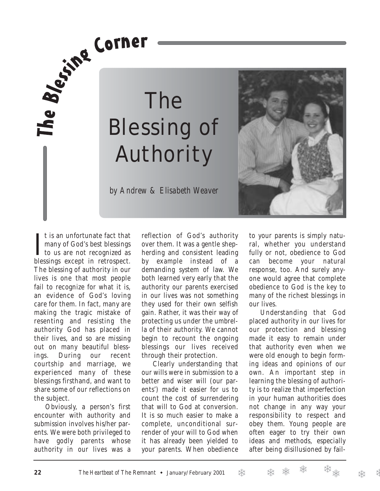# Fe By PL The Blessing of Authority



*by Andrew & Elisabeth Weaver*

I t is an unfortunate fact that<br>
many of God's best blessings<br>
to us are not recognized as<br>
blessings susent in retreased t is an unfortunate fact that many of God's best blessings blessings except in retrospect. The blessing of authority in our lives is one that most people fail to recognize for what it is, an evidence of God's loving care for them. In fact, many are making the tragic mistake of resenting and resisting the authority God has placed in their lives, and so are missing out on many beautiful blessings. During our recent courtship and marriage, we experienced many of these blessings firsthand, and want to share some of our reflections on the subject.

Obviously, a person's first encounter with authority and submission involves his/her parents. We were both privileged to have godly parents whose authority in our lives was a reflection of God's authority over them. It was a gentle shepherding and consistent leading by example instead of a demanding system of law. We both learned very early that the authority our parents exercised in our lives was not something they used for their own selfish gain. Rather, it was their way of protecting us under the umbrella of their authority. We cannot begin to recount the ongoing blessings our lives received through their protection.

Clearly understanding that our wills were in submission to a better and wiser will (our parents') made it easier for us to count the cost of surrendering that will to God at conversion. It is so much easier to make a complete, unconditional surrender of your will to God when it has already been yielded to your parents. When obedience

to your parents is simply natural, whether you understand fully or not, obedience to God can become your natural response, too. And surely anyone would agree that complete obedience to God is the key to many of the richest blessings in our lives.

Understanding that God placed authority in our lives for our protection and blessing made it easy to remain under that authority even when we were old enough to begin forming ideas and opinions of our own. An important step in learning the blessing of authority is to realize that imperfection in your human authorities does not change in any way your responsibility to respect and obey them. Young people are often eager to try their own ideas and methods, especially after being disillusioned by fail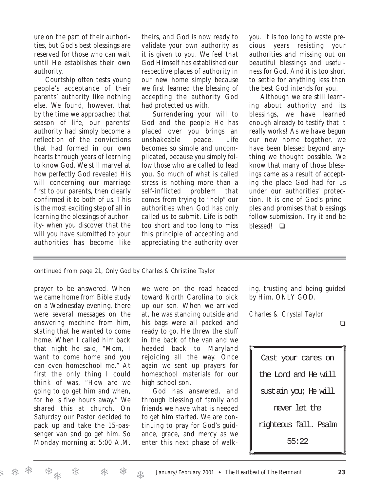ure on the part of their authorities, but God's best blessings are reserved for those who can wait until He establishes their own authority.

Courtship often tests young people's acceptance of their parents' authority like nothing else. We found, however, that by the time we approached that season of life, our parents' authority had simply become a reflection of the convictions that had formed in our own hearts through years of learning to know God. We still marvel at how perfectly God revealed His will concerning our marriage first to our parents, then clearly confirmed it to both of us. This is the most exciting step of all in learning the blessings of authority- when you discover that the will you have submitted to your authorities has become like

theirs, and God is now ready to validate your own authority as it is given to you. We feel that God Himself has established our respective places of authority in our new home simply because we first learned the blessing of accepting the authority God had protected us with.

Surrendering your will to God and the people He has placed over you brings an unshakeable peace. Life becomes so simple and uncomplicated, because you simply follow those who are called to lead you. So much of what is called stress is nothing more than a self-inflicted problem that comes from trying to "help" our authorities when God has only called us to submit. Life is both too short and too long to miss this principle of accepting and appreciating the authority over you. It is too long to waste precious years resisting your authorities and missing out on beautiful blessings and usefulness for God. And it is too short to settle for anything less than the best God intends for you.

Although we are still learning about authority and its blessings, we have learned enough already to testify that it really works! As we have begun our new home together, we have been blessed beyond anything we thought possible. We know that many of those blessings came as a result of accepting the place God had for us under our authorities' protection. It is one of God's principles and promises that blessings follow submission. Try it and be blessed! ❏

*continued from page 21,* Only God *by Charles & Christine Taylor*

prayer to be answered. When we came home from Bible study on a Wednesday evening, there were several messages on the answering machine from him, stating that he wanted to come home. When I called him back that night he said, "Mom, I want to come home and you can even homeschool me." At first the only thing I could think of was, "How are we going to go get him and when, for he is five hours away." We shared this at church. On Saturday our Pastor decided to pack up and take the 15-passenger van and go get him. So Monday morning at 5:00 A.M.

we were on the road headed toward North Carolina to pick up our son. When we arrived at, he was standing outside and his bags were all packed and ready to go. He threw the stuff in the back of the van and we headed back to Maryland rejoicing all the way. Once again we sent up prayers for homeschool materials for our high school son.

God has answered, and through blessing of family and friends we have what is needed to get him started. We are continuing to pray for God's guidance, grace, and mercy as we enter this next phase of walking, trusting and being guided by Him. ONLY GOD.

*Charles & Crystal Taylor*

❏

Cast your cares on the Lord and He will sustain you; He will never let the righteous fall. Psalm 55:22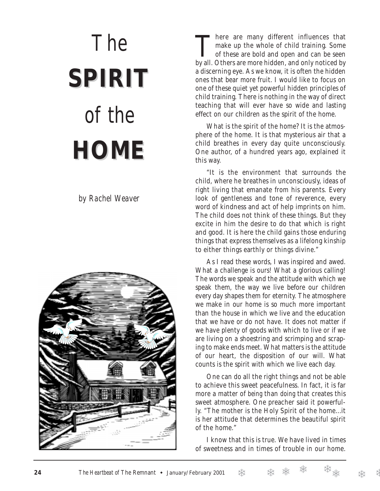# *The* **SPIRIT** *of the* **HOME**

*by Rachel Weaver*



There are many different influences that make up the whole of child training. Some of these are bold and open and can be seen by all. Others are more hidden, and only noticed by a discerning eye. As we know, it is often the hidden ones that bear more fruit. I would like to focus on one of these quiet yet powerful hidden principles of child training. There is nothing in the way of direct teaching that will ever have so wide and lasting effect on our children as the spirit of the home.

What is the spirit of the home? It is the atmosphere of the home. It is that mysterious air that a child breathes in every day quite unconsciously. One author, of a hundred years ago, explained it this way.

"It is the environment that surrounds the child, where he breathes in unconsciously, ideas of right living that emanate from his parents. Every look of gentleness and tone of reverence, every word of kindness and act of help imprints on him. The child does not think of these things. But they excite in him the desire to do that which is right and good. It is here the child gains those enduring things that express themselves as a lifelong kinship to either things earthly or things divine."

As I read these words, I was inspired and awed. What a challenge is ours! What a glorious calling! The words we speak and the attitude with which we speak them, the way we live before our children every day shapes them for eternity. The atmosphere we make in our home is so much more important than the house in which we live and the education that we have or do not have. It does not matter if we have plenty of goods with which to live or if we are living on a shoestring and scrimping and scraping to make ends meet. What matters is the attitude of our heart, the disposition of our will. What counts is the spirit with which we live each day.

One can do all the right things and not be able to achieve this sweet peacefulness. In fact, it is far more a matter of *being* than *doing* that creates this sweet atmosphere. One preacher said it powerfully. "The mother is the Holy Spirit of the home...it is her attitude that determines the beautiful spirit of the home."

I know that this is true. We have lived in times of sweetness and in times of trouble in our home.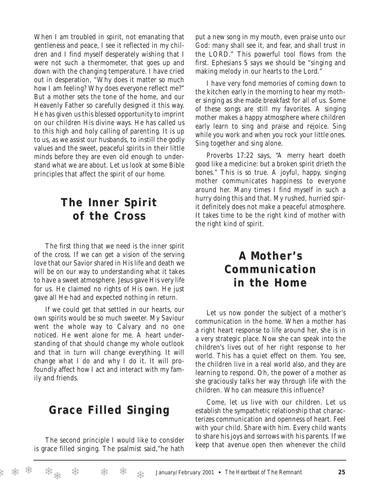When I am troubled in spirit, not emanating that gentleness and peace, I see it reflected in my children and I find myself desperately wishing that I were not such a thermometer, that goes up and down with the changing temperature. I have cried out in desperation, "Why does it matter so much how I am feeling? Why does everyone reflect me?" But a mother sets the tone of the home, and our Heavenly Father so carefully designed it this way. He has given us this blessed opportunity to imprint on our children His divine ways. He has called us to this high and holy calling of parenting. It is up to us, as we assist our husbands, to instill the godly values and the sweet, peaceful spirits in their little minds before they are even old enough to understand what we are about. Let us look at some Bible principles that affect the spirit of our home.

# **The Inner Spirit The Inner Spirit of the Cross of the Cross**

The first thing that we need is the inner spirit of the cross. If we can get a vision of the serving love that our Savior shared in His life and death we will be on our way to understanding what it takes to have a sweet atmosphere. Jesus gave His very life for us. He claimed no rights of His own. He just gave all He had and expected nothing in return.

If we could get that settled in our hearts, our own spirits would be so much sweeter. My Saviour went the whole way to Calvary and no one noticed. He went alone for me. A heart understanding of that should change my whole outlook and that in turn will change everything. It will change what I do and why I do it. It will profoundly affect how I act and interact with my family and friends.

## **Grace Filled Singing ace Filled Singing**

The second principle I would like to consider is grace filled singing. The psalmist said,"he hath put a new song in my mouth, even praise unto our God: many shall see it, and fear, and shall trust in the LORD." This powerful tool flows from the first. Ephesians 5 says we should be "singing and making melody in our hearts to the Lord."

I have very fond memories of coming down to the kitchen early in the morning to hear my mother singing as she made breakfast for all of us. Some of these songs are still my favorites. A singing mother makes a happy atmosphere where children early learn to sing and praise and rejoice. Sing while you work and when you rock your little ones. Sing together and sing alone.

Proverbs 17:22 says, "A merry heart doeth good like a medicine: but a broken spirit drieth the bones." This is so true. A joyful, happy, singing mother communicates happiness to everyone around her. Many times I find myself in such a hurry doing this and that. My rushed, hurried spirit definitely does not make a peaceful atmosphere. It takes time to be the right kind of mother with the right kind of spirit.

## **A Mother' Mother's Communication Communication in the Home in the Home**

Let us now ponder the subject of a mother's communication in the home. When a mother has a right heart response to life around her, she is in a very strategic place. Now she can speak into the children's lives out of her right response to her world. This has a quiet effect on them. You see, the children live in a real world also, and they are learning to respond. Oh, the power of a mother as she graciously talks her way through life with the children. Who can measure this influence?

Come, let us live with our children. Let us establish the sympathetic relationship that characterizes communication and openness of heart. Feel with your child. Share with him. Every child wants to share his joys and sorrows with his parents. If we keep that avenue open then whenever the child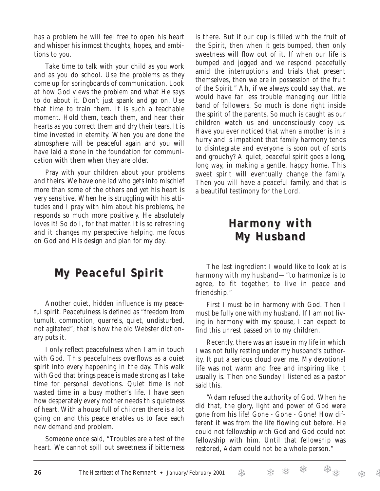has a problem he will feel free to open his heart and whisper his inmost thoughts, hopes, and ambitions to you.

Take time to talk with your child as you work and as you do school. Use the problems as they come up for springboards of communication. Look at how God views the problem and what He says to do about it. Don't just spank and go on. Use that time to train them. It is such a teachable moment. Hold them, teach them, and hear their hearts as you correct them and dry their tears. It is time invested in eternity. When you are done the atmosphere will be peaceful again and you will have laid a stone in the foundation for communication with them when they are older.

Pray with your children about your problems and theirs. We have one lad who gets into mischief more than some of the others and yet his heart is very sensitive. When he is struggling with his attitudes and I pray with him about his problems, he responds so much more positively. He absolutely loves it! So do I, for that matter. It is so refreshing and it changes my perspective helping, me focus on God and His design and plan for my day.

# **My Peaceful Spirit eaceful Spirit**

Another quiet, hidden influence is my peaceful spirit. Peacefulness is defined as "freedom from tumult, commotion, quarrels, quiet, undisturbed, not agitated"; that is how the old Webster dictionary puts it.

I only reflect peacefulness when I am in touch with God. This peacefulness overflows as a quiet spirit into every happening in the day. This walk with God that brings peace is made strong as I take time for personal devotions. Quiet time is not wasted time in a busy mother's life. I have seen how desperately every mother needs this quietness of heart. With a house full of children there is a lot going on and this peace enables us to face each new demand and problem.

Someone once said, "Troubles are a test of the heart. We cannot spill out sweetness if bitterness is there. But if our cup is filled with the fruit of the Spirit, then when it gets bumped, then only sweetness will flow out of it. If when our life is bumped and jogged and we respond peacefully amid the interruptions and trials that present themselves, then we are in possession of the fruit of the Spirit." Ah, if we always could say that, we would have far less trouble managing our little band of followers. So much is done right inside the spirit of the parents. So much is caught as our children watch us and unconsciously copy us. Have you ever noticed that when a mother is in a hurry and is impatient that family harmony tends to disintegrate and everyone is soon out of sorts and grouchy? A quiet, peaceful spirit goes a long, long way, in making a gentle, happy home. This sweet spirit will eventually change the family. Then you will have a peaceful family, and that is a beautiful testimony for the Lord.

## **Harmony with Harmony with My Husband My Husband**

The last ingredient I would like to look at is harmony with my husband—"to harmonize is to agree, to fit together, to live in peace and friendship."

First I must be in harmony with God. Then I must be fully one with my husband. If I am not living in harmony with my spouse, I can expect to find this unrest passed on to my children.

Recently, there was an issue in my life in which I was not fully resting under my husband's authority. It put a serious cloud over me. My devotional life was not warm and free and inspiring like it usually is. Then one Sunday I listened as a pastor said this.

"Adam refused the authority of God. When he did that, the glory, light and power of God were gone from his life! Gone - Gone - Gone! How different it was from the life flowing out before. He could not fellowship with God and God could not fellowship with him. Until that fellowship was restored, Adam could not be a whole person."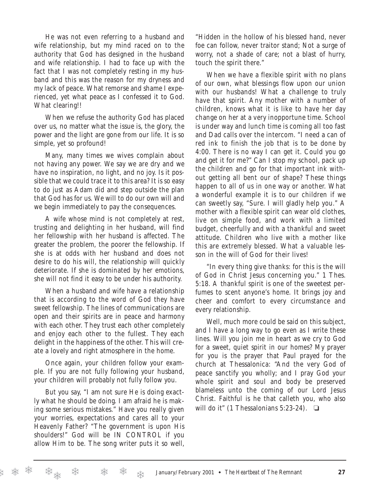He was not even referring to a husband and wife relationship, but my mind raced on to the authority that God has designed in the husband and wife relationship. I had to face up with the fact that I was not completely resting in my husband and this was the reason for my dryness and my lack of peace. What remorse and shame I experienced, yet what peace as I confessed it to God. What clearing!!

When we refuse the authority God has placed over us, no matter what the issue is, the glory, the power and the light are gone from our life. It is so simple, yet so profound!

Many, many times we wives complain about not having any power. We say we are dry and we have no inspiration, no light, and no joy. Is it possible that we could trace it to this area? It is so easy to do just as Adam did and step outside the plan that God has for us. We will to do our own will and we begin immediately to pay the consequences.

A wife whose mind is not completely at rest, trusting and delighting in her husband, will find her fellowship with her husband is affected. The greater the problem, the poorer the fellowship. If she is at odds with her husband and does not desire to do his will, the relationship will quickly deteriorate. If she is dominated by her emotions, she will not find it easy to be under his authority.

When a husband and wife have a relationship that is according to the word of God they have sweet fellowship. The lines of communications are open and their spirits are in peace and harmony with each other. They trust each other completely and enjoy each other to the fullest. They each delight in the happiness of the other. This will create a lovely and right atmosphere in the home.

Once again, your children follow your example. If you are not fully following your husband, your children will probably not fully follow you.

But you say, "I am not sure He is doing exactly what he should be doing. I am afraid he is making some serious mistakes." Have you really given your worries, expectations and cares all to your Heavenly Father? "The government is upon His shoulders!" God will be IN CONTROL if you allow Him to be. The song writer puts it so well, "Hidden in the hollow of his blessed hand, never foe can follow, never traitor stand; Not a surge of worry, not a shade of care; not a blast of hurry, touch the spirit there."

When we have a flexible spirit with no plans of our own, what blessings flow upon our union with our husbands! What a challenge to truly have that spirit. Any mother with a number of children, knows what it is like to have her day change on her at a very inopportune time. School is under way and lunch time is coming all too fast and Dad calls over the intercom. "I need a can of red ink to finish the job that is to be done by 4:00. There is no way I can get it. Could you go and get it for me?" Can I stop my school, pack up the children and go for that important ink without getting all bent our of shape? These things happen to all of us in one way or another. What a wonderful example it is to our children if we can sweetly say, "Sure. I will gladly help you." A mother with a flexible spirit can wear old clothes, live on simple food, and work with a limited budget, cheerfully and with a thankful and sweet attitude. Children who live with a mother like this are extremely blessed. What a valuable lesson in the will of God for their lives!

"In every thing give thanks: for this is the will of God in Christ Jesus concerning you." 1 Thes. 5:18. A thankful spirit is one of the sweetest perfumes to scent anyone's home. It brings joy and cheer and comfort to every circumstance and every relationship.

Well, much more could be said on this subject, and I have a long way to go even as I write these lines. Will you join me in heart as we cry to God for a sweet, quiet spirit in our homes? My prayer for you is the prayer that Paul prayed for the church at Thessalonica: "And the very God of peace sanctify you wholly; and I pray God your whole spirit and soul and body be preserved blameless unto the coming of our Lord Jesus Christ. Faithful is he that calleth you, who also will do it" (1 Thessalonians 5:23-24).  $\Box$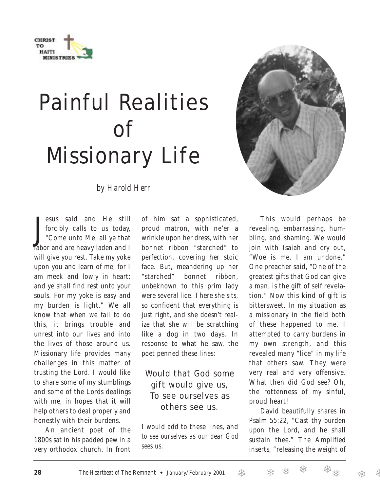

# Painful Realities of Missionary Life

*by Harold Herr*

Jesus said and He still<br>forcibly calls to us today,<br>"Come unto Me, all ye that<br>labor and are heavy laden and I esus said and He still forcibly calls to us today, "Come unto Me, all ye that will give you rest. Take my yoke upon you and learn of me; for I am meek and lowly in heart: and ye shall find rest unto your souls. For my yoke is easy and my burden is light." We all know that when we fail to do this, it brings trouble and unrest into our lives and into the lives of those around us. Missionary life provides many challenges in this matter of trusting the Lord. I would like to share some of my stumblings and some of the Lords dealings with me, in hopes that it will help others to deal properly and honestly with their burdens.

An ancient poet of the 1800s sat in his padded pew in a very orthodox church. In front

of him sat a sophisticated, proud matron, with ne'er a wrinkle upon her dress, with her bonnet ribbon "starched" to perfection, covering her stoic face. But, meandering up her "starched" bonnet ribbon, unbeknown to this prim lady were several lice. There she sits, so confident that everything is just right, and she doesn't realize that she will be scratching like a dog in two days. In response to what he saw, the poet penned these lines:

## Would that God some gift would give us, To see ourselves as others see us.

I would add to these lines, and *to see ourselves as our dear God sees us*.



revealing, embarrassing, humbling, and shaming. We would join with Isaiah and cry out, "Woe is me, I am undone." One preacher said, "One of the greatest gifts that God can give a man, is the gift of self revelation." Now this kind of gift is bittersweet. In my situation as a missionary in the field both of these happened to me. I attempted to carry burdens in my own strength, and this revealed many "lice" in my life that others saw. They were very real and very offensive. What then did God see? Oh, the rottenness of my sinful, proud heart!

David beautifully shares in Psalm 55:22, "Cast thy burden upon the Lord, and he shall sustain thee." The Amplified inserts, "releasing the weight of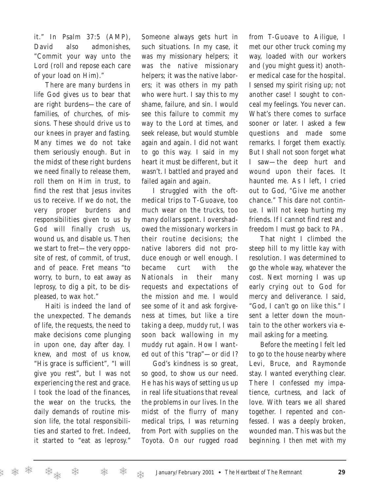it." In Psalm 37:5 (AMP), David also admonishes, "Commit your way unto the Lord (roll and repose each care of your load on Him)."

There are many burdens in life God gives us to bear that are right burdens—the care of families, of churches, of missions. These should drive us to our knees in prayer and fasting. Many times we do not take them seriously enough. But in the midst of these right burdens we need finally to release them, roll them on Him in trust, to find the rest that Jesus invites us to receive. If we do not, the very proper burdens and responsibilities given to us by God will finally crush us, wound us, and disable us. Then we start to fret—the very opposite of rest, of commit, of trust, and of peace. Fret means "to worry, to burn, to eat away as leprosy, to dig a pit, to be displeased, to wax hot."

Haiti is indeed the land of the unexpected. The demands of life, the requests, the need to make decisions come plunging in upon one, day after day. I knew, and most of us know, "His grace is sufficient", "I will give you rest", but I was not experiencing the rest and grace. I took the load of the finances, the wear on the trucks, the daily demands of routine mission life, the total responsibilities and started to fret. Indeed, it started to "eat as leprosy."

Someone always gets hurt in such situations. In my case, it was my missionary helpers; it was the native missionary helpers; it was the native laborers; it was others in my path who were hurt. I say this to my shame, failure, and sin. I would see this failure to commit my way to the Lord at times, and seek release, but would stumble again and again. I did not want to go this way. I said in my heart it must be different, but it wasn't. I battled and prayed and failed again and again.

I struggled with the oftmedical trips to T-Guoave, too much wear on the trucks, too many dollars spent. I overshadowed the missionary workers in their routine decisions; the native laborers did not produce enough or well enough. I became curt with the Nationals in their many requests and expectations of the mission and me. I would see some of it and ask forgiveness at times, but like a tire taking a deep, muddy rut, I was soon back wallowing in my muddy rut again. How I wanted out of this "trap"—or did I?

God's kindness is so great, so good, to show us our need. He has his ways of setting us up in real life situations that reveal the problems in our lives. In the midst of the flurry of many medical trips, I was returning from Port with supplies on the Toyota. On our rugged road

from T-Guoave to Ailigue, I met our other truck coming my way, loaded with our workers and (you might guess it) another medical case for the hospital. I sensed my spirit rising up; not another case! I sought to conceal my feelings. You never can. What's there comes to surface sooner or later. I asked a few questions and made some remarks. I forget them exactly. But I shall not soon forget what I saw—the deep hurt and wound upon their faces. It haunted me. As I left, I cried out to God, "Give me another chance." This dare not continue. I will not keep hurting my friends. If I cannot find rest and freedom I must go back to PA.

That night I climbed the steep hill to my little kay with resolution. I was determined to go the whole way, whatever the cost. Next morning I was up early crying out to God for mercy and deliverance. I said, "God, I can't go on like this." I sent a letter down the mountain to the other workers via email asking for a meeting.

Before the meeting I felt led to go to the house nearby where Levi, Bruce, and Raymonde stay. I wanted everything clear. There I confessed my impatience, curtness, and lack of love. With tears we all shared together. I repented and confessed. I was a deeply broken, wounded man. This was but the beginning. I then met with my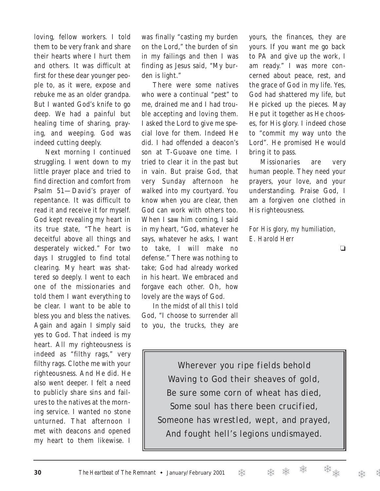loving, fellow workers. I told them to be very frank and share their hearts where I hurt them and others. It was difficult at first for these dear younger people to, as it were, expose and rebuke me as an older grandpa. But I wanted God's knife to go deep. We had a painful but healing time of sharing, praying, and weeping. God was indeed cutting deeply.

Next morning I continued struggling. I went down to my little prayer place and tried to find direction and comfort from Psalm 51—David's prayer of repentance. It was difficult to read it and receive it for myself. God kept revealing my heart in its true state, "The heart is deceitful above all things and desperately wicked." For two days I struggled to find total clearing. My heart was shattered so deeply. I went to each one of the missionaries and told them I want everything to be clear. I want to be able to bless you and bless the natives. Again and again I simply said yes to God. That indeed is my heart. All my righteousness is indeed as "filthy rags," very filthy rags. Clothe me with your righteousness. And He did. He also went deeper. I felt a need to publicly share sins and failures to the natives at the morning service. I wanted no stone unturned. That afternoon I met with deacons and opened my heart to them likewise. I

was finally "casting my burden on the Lord," the burden of sin in my failings and then I was finding as Jesus said, "My burden is light."

There were some natives who were a continual "pest" to me, drained me and I had trouble accepting and loving them. I asked the Lord to give me special love for them. Indeed He did. I had offended a deacon's son at T-Guoave one time. I tried to clear it in the past but in vain. But praise God, that very Sunday afternoon he walked into my courtyard. You know when you are clear, then God can work with others too. When I saw him coming, I said in my heart, "God, whatever he says, whatever he asks, I want to take, I will make no defense." There was nothing to take; God had already worked in his heart. We embraced and forgave each other. Oh, how lovely are the ways of God.

In the midst of all this I told God, "I choose to surrender all to you, the trucks, they are yours, the finances, they are yours. If you want me go back to PA and give up the work, I am ready." I was more concerned about peace, rest, and the grace of God in my life. Yes, God had shattered my life, but He picked up the pieces. May He put it together as He chooses, for His glory. I indeed chose to "commit my way unto the Lord". He promised He would bring it to pass.

Missionaries are very human people. They need your prayers, your love, and your understanding. Praise God, I am a forgiven one clothed in His righteousness.

*For His glory, my humiliation, E. Harold Herr*

❏

*Wherever you ripe fields behold Waving to God their sheaves of gold, Be sure some corn of wheat has died, Some soul has there been crucified, Someone has wrestled, wept, and prayed, And fought hell's legions undismayed.*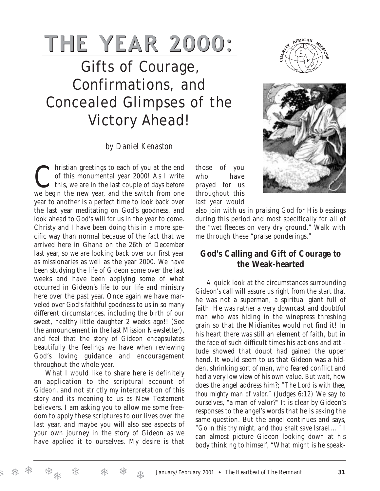# **THE YEAR 2000:**

# Gifts of Courage, Confirmations, and Concealed Glimpses of the Victory Ahead!

### *by Daniel Kenaston*

Christian greetings to each of you at the end<br>of this monumental year 2000! As I write<br>this, we are in the last couple of days before of this monumental year 2000! As I write we begin the new year, and the switch from one year to another is a perfect time to look back over the last year meditating on God's goodness, and look ahead to God's will for us in the year to come. Christy and I have been doing this in a more specific way than normal because of the fact that we arrived here in Ghana on the 26th of December last year, so we are looking back over our first year as missionaries as well as the year 2000. We have been studying the life of Gideon some over the last weeks and have been applying some of what occurred in Gideon's life to our life and ministry here over the past year. Once again we have marveled over God's faithful goodness to us in so many different circumstances, including the birth of our sweet, healthy little daughter 2 weeks ago!! (See the announcement in the last Mission Newsletter), and feel that the story of Gideon encapsulates beautifully the feelings we have when reviewing God's loving guidance and encouragement throughout the whole year.

What I would like to share here is definitely an application to the scriptural account of Gideon, and not strictly my interpretation of this story and its meaning to us as New Testament believers. I am asking you to allow me some freedom to apply these scriptures to our lives over the last year, and maybe you will also see aspects of your own journey in the story of Gideon as we have applied it to ourselves. My desire is that

❄

those of you who have prayed for us throughout this last year would





also join with us in praising God for His blessings during this period and most specifically for all of the "wet fleeces on very dry ground." Walk with me through these "praise ponderings."

### **God's Calling and Gift of Courage to the Weak-hearted**

A quick look at the circumstances surrounding Gideon's call will assure us right from the start that he was not a superman, a spiritual giant full of faith. He was rather a very downcast and doubtful man who was hiding in the winepress threshing grain so that the Midianites would not find it! In his heart there was still an element of faith, but in the face of such difficult times his actions and attitude showed that doubt had gained the upper hand. It would seem to us that Gideon was a hidden, shrinking sort of man, who feared conflict and had a very low view of his own value. But wait, how does the angel address him?; *"The Lord is with thee, thou mighty man of valor."* (Judges 6:12) We say to ourselves, "a man of valor?" It is clear by Gideon's responses to the angel's words that he is asking the same question. But the angel continues and says, *"Go in this thy might, and thou shalt save Israel.…"* I can almost picture Gideon looking down at his body thinking to himself, "What might is he speak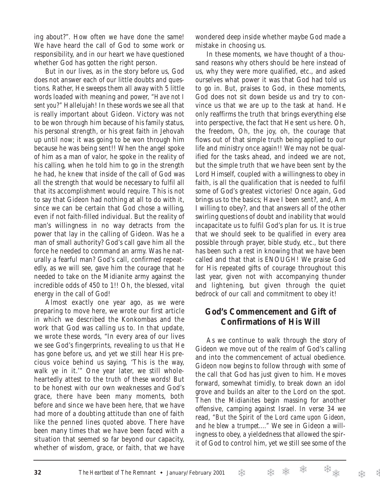ing about?". How often we have done the same! We have heard the call of God to some work or responsibility, and in our heart we have questioned whether God has gotten the right person.

But in our lives, as in the story before us, God does not answer each of our little doubts and questions. Rather, He sweeps them all away with 5 little words loaded with meaning and power, *"Have not I sent you?"* Hallelujah! In these words we see all that is really important about Gideon. Victory was not to be won through him because of his family status, his personal strength, or his great faith in Jehovah up until now; it was going to be won through him because he was being sent!! When the angel spoke of him as a man of valor, he spoke in the reality of his calling, when he told him to go in the strength he had, he knew that inside of the call of God was all the strength that would be necessary to fulfil all that its accomplishment would require. This is not to say that Gideon had nothing at all to do with it, since we can be certain that God chose a willing, even if not faith-filled individual. But the reality of man's willingness in no way detracts from the power that lay in the calling of Gideon. Was he a man of small authority? God's call gave him all the force he needed to command an army. Was he naturally a fearful man? God's call, confirmed repeatedly, as we will see, gave him the courage that he needed to take on the Midianite army against the incredible odds of 450 to 1!! Oh, the blessed, vital energy in the call of God!

Almost exactly one year ago, as we were preparing to move here, we wrote our first article in which we described the Konkombas and the work that God was calling us to. In that update, we wrote these words, "In every area of our lives we see God's fingerprints, revealing to us that He has gone before us, and yet we still hear His precious voice behind us saying, 'This is the way, walk ye in it.'" One year later, we still wholeheartedly attest to the truth of these words! But to be honest with our own weaknesses and God's grace, there have been many moments, both before and since we have been here, that we have had more of a doubting attitude than one of faith like the penned lines quoted above. There have been many times that we have been faced with a situation that seemed so far beyond our capacity, whether of wisdom, grace, or faith, that we have

wondered deep inside whether maybe God made a mistake in choosing us.

In these moments, we have thought of a thousand reasons why others should be here instead of us, why they were more qualified, etc., and asked ourselves what power it was that God had told us to go in. But, praises to God, in these moments, God does not sit down beside us and try to convince us that we are up to the task at hand. He only reaffirms the truth that brings everything else into perspective, the fact that He sent us here. Oh, the freedom, Oh, the joy, oh, the courage that flows out of that simple truth being applied to our life and ministry once again!! We may not be qualified for the tasks ahead, and indeed we are not, but the simple truth that we have been sent by the Lord Himself, coupled with a willingness to obey in faith, is all the qualification that is needed to fulfil some of God's greatest victories! Once again, God brings us to the basics; Have I been sent?, and, Am I willing to obey?, and that answers all of the other swirling questions of doubt and inability that would incapacitate us to fulfil God's plan for us. It is true that we should seek to be qualified in every area possible through prayer, bible study, etc., but there has been such a rest in knowing that we have been called and that that is ENOUGH! We praise God for His repeated gifts of courage throughout this last year, given not with accompanying thunder and lightening, but given through the quiet bedrock of our call and commitment to obey it!

### **God's Commencement and Gift of Confirmations of His Will**

As we continue to walk through the story of Gideon we move out of the realm of God's calling and into the commencement of actual obedience. Gideon now begins to follow through with some of the call that God has just given to him. He moves forward, somewhat timidly, to break down an idol grove and builds an alter to the Lord on the spot. Then the Midianites begin massing for another offensive, camping against Israel. In verse 34 we read, *"But the Spirit of the Lord came upon Gideon, and he blew a trumpet...."* We see in Gideon a willingness to obey, a yieldedness that allowed the spirit of God to control him, yet we still see some of the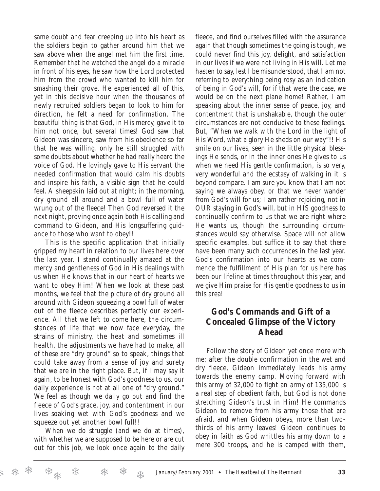same doubt and fear creeping up into his heart as the soldiers begin to gather around him that we saw above when the angel met him the first time. Remember that he watched the angel do a miracle in front of his eyes, he saw how the Lord protected him from the crowd who wanted to kill him for smashing their grove. He experienced all of this, yet in this decisive hour when the thousands of newly recruited soldiers began to look to him for direction, he felt a need for confirmation. The beautiful thing is that God, in His mercy, gave it to him not once, but several times! God saw that Gideon was sincere, saw from his obedience so far that he was willing, only he still struggled with some doubts about whether he had really heard the voice of God. He lovingly gave to His servant the needed confirmation that would calm his doubts and inspire his faith, a visible sign that he could feel. A sheepskin laid out at night; in the morning, dry ground all around and a bowl full of water wrung out of the fleece! Then God reversed it the next night, proving once again both His calling and command to Gideon, and His longsuffering guidance to those who want to obey!!

This is the specific application that initially gripped my heart in relation to our lives here over the last year. I stand continually amazed at the mercy and gentleness of God in His dealings with us when He knows that in our heart of hearts we want to obey Him! When we look at these past months, we feel that the picture of dry ground all around with Gideon squeezing a bowl full of water out of the fleece describes perfectly our experience. All that we left to come here, the circumstances of life that we now face everyday, the strains of ministry, the heat and sometimes ill health, the adjustments we have had to make, all of these are "dry ground" so to speak, things that could take away from a sense of joy and surety that we are in the right place. But, if I may say it again, to be honest with God's goodness to us, our daily experience is not at all one of "dry ground." We feel as though we daily go out and find the fleece of God's grace, joy, and contentment in our lives soaking wet with God's goodness and we squeeze out yet another bowl full!!

When we do struggle (and we do at times), with whether we are supposed to be here or are cut out for this job, we look once again to the daily fleece, and find ourselves filled with the assurance again that though sometimes the going is tough, we could never find this joy, delight, and satisfaction in our lives if we were not living in His will. Let me hasten to say, lest I be misunderstood, that I am not referring to everything being rosy as an indication of being in God's will, for if that were the case, we would be on the next plane home! Rather, I am speaking about the inner sense of peace, joy, and contentment that is unshakable, though the outer circumstances are not conducive to these feelings. But, "When we walk with the Lord in the light of His Word, what a glory He sheds on our way"!! His smile on our lives, seen in the little physical blessings He sends, or in the inner ones He gives to us when we need His gentle confirmation, is so very, very wonderful and the ecstasy of walking in it is beyond compare. I am sure you know that I am not saying we always obey, or that we never wander from God's will for us; I am rather rejoicing, not in OUR staying in God's will, but in HIS goodness to continually confirm to us that we are right where He wants us, though the surrounding circumstances would say otherwise. Space will not allow specific examples, but suffice it to say that there have been many such occurrences in the last year. God's confirmation into our hearts as we commence the fulfillment of His plan for us here has been our lifeline at times throughout this year, and we give Him praise for His gentle goodness to us in this area!

### **God's Commands and Gift of a Concealed Glimpse of the Victory Ahead**

Follow the story of Gideon yet once more with me; after the double confirmation in the wet and dry fleece, Gideon immediately leads his army towards the enemy camp. Moving forward with this army of 32,000 to fight an army of 135,000 is a real step of obedient faith, but God is not done stretching Gideon's trust in Him! He commands Gideon to remove from his army those that are afraid, and when Gideon obeys, more than twothirds of his army leaves! Gideon continues to obey in faith as God whittles his army down to a mere 300 troops, and he is camped with them,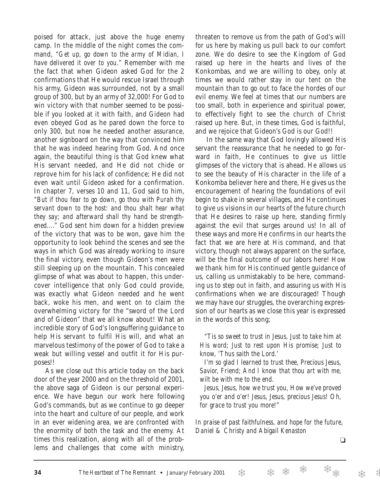poised for attack, just above the huge enemy camp. In the middle of the night comes the command, *"Get up, go down to the army of Midian, I have delivered it over to you*." Remember with me the fact that when Gideon asked God for the 2 confirmations that He would rescue Israel through his army, Gideon was surrounded, not by a small group of 300, but by an army of 32,000! For God to win victory with that number seemed to be possible if you looked at it with faith, and Gideon had even obeyed God as he pared down the force to only 300, but now he needed another assurance, another signboard on the way that convinced him that he was indeed hearing from God. And once again, the beautiful thing is that God knew what His servant needed, and He did not chide or reprove him for his lack of confidence; He did not even wait until Gideon asked for a confirmation. In chapter 7, verses 10 and 11, God said to him, *"But if thou fear to go down, go thou with Purah thy servant down to the host: and thou shalt hear what they say; and afterward shall thy hand be strengthened...."* God sent him down for a hidden preview of the victory that was to be won, gave him the opportunity to look behind the scenes and see the ways in which God was already working to insure the final victory, even though Gideon's men were still sleeping up on the mountain. This concealed glimpse of what was about to happen, this undercover intelligence that only God could provide, was exactly what Gideon needed and he went back, woke his men, and went on to claim the overwhelming victory for the "sword of the Lord and of Gideon" that we all know about! What an incredible story of God's longsuffering guidance to help His servant to fulfil His will, and what an marvelous testimony of the power of God to take a weak but willing vessel and outfit it for His purposes!!

As we close out this article today on the back door of the year 2000 and on the threshold of 2001, the above saga of Gideon is our personal experience. We have begun our work here following God's commands, but as we continue to go deeper into the heart and culture of our people, and work in an ever widening area, we are confronted with the enormity of both the task and the enemy. At times this realization, along with all of the problems and challenges that come with ministry,

threaten to remove us from the path of God's will for us here by making us pull back to our comfort zone. We do desire to see the Kingdom of God raised up here in the hearts and lives of the Konkombas, and we are willing to obey, only at times we would rather stay in our tent on the mountain than to go out to face the hordes of our evil enemy. We feel at times that our numbers are too small, both in experience and spiritual power, to effectively fight to see the church of Christ raised up here. But, in these times, God is faithful, and we rejoice that Gideon's God is our God!!

In the same way that God lovingly allowed His servant the reassurance that he needed to go forward in faith, He continues to give us little glimpses of the victory that is ahead. He allows us to see the beauty of His character in the life of a Konkomba believer here and there, He gives us the encouragement of hearing the foundations of evil begin to shake in several villages, and He continues to give us visions in our hearts of the future church that He desires to raise up here, standing firmly against the evil that surges around us! In all of these ways and more He confirms in our hearts the fact that we are here at His command, and that victory, though not always apparent on the surface, will be the final outcome of our labors here! How we thank him for His continued gentle guidance of us, calling us unmistakably to be here, commanding us to step out in faith, and assuring us with His confirmations when we are discouraged! Though we may have our struggles, the overarching expression of our hearts as we close this year is expressed in the words of this song;

*"Tis so sweet to trust in Jesus, Just to take him at His word; Just to rest upon His promise; Just to know, 'Thus saith the Lord.'*

*I'm so glad I learned to trust thee, Precious Jesus, Savior, Friend; And I know that thou art with me, wilt be with me to the end.*

*Jesus, Jesus, how we trust you, How we've proved you o'er and o'er! Jesus, Jesus, precious Jesus! Oh, for grace to trust you more!"*

*In praise of past faithfulness, and hope for the future, Daniel & Christy and Abigail Kenaston*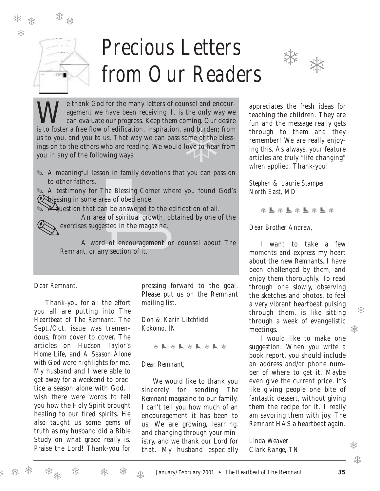

❄

# *Precious Letters from Our Readers*



oming. Our<br>and burden;<br>ome of the<br>love to hear We thank God for the many letters of counsel and encour-<br>agement we have been receiving. It is the only way we<br>can evaluate our progress. Keep them coming. Our desire agement we have been receiving. It is the only way we is to foster a free flow of edification, inspiration, and burden; from us to you, and you to us. That way we can pass some of the blessings on to the others who are reading. We would love to hear from you in any of the following ways.

✎ A meaningful lesson in family devotions that you can pass on to other fathers.

✎ A testimony for *The Blessing Corner* where you found God's **Explessing in some area of obedience.** 

 $\chi$  duestion that can be answered to the edification of all.

resson in family devotions that<br>rs.<br>for *The Blessing Corner* where<br>me area of obedience.<br>at can be answered to the edifi-<br>area of spiritual growth, obtai<br>suggested in the magazine.<br>word of encouragement or co<br>or any secti An area of spiritual growth, obtained by one of the exercises suggested in the magazine.

A word of encouragement or counsel about *The Remnant*, or any section of it.

#### *Dear Remnant,*

Thank-you for all the effort you all are putting into *The Heartbeat of The Remnant*. The Sept./Oct. issue was tremendous, from cover to cover. The articles on *Hudson Taylor's Home Life*, and *A Season Alone with God* were highlights for me. My husband and I were able to get away for a weekend to practice a season alone with God. I wish there were words to tell you how the Holy Spirit brought healing to our tired spirits. He also taught us some gems of truth as my husband did a Bible Study on what grace really is. Praise the Lord! Thank-you for

pressing forward to the goal. Please put us on the Remnant mailing list.

*Don & Karin Litchfield Kokomo, IN*

❅ ! ❅ ! ❅ ! ❅ ! ❅

### *Dear Remnant,*

We would like to thank you sincerely for sending *The Remnant* magazine to our family. I can't tell you how much of an encouragement it has been to us. We are growing, learning, and changing through your ministry, and we thank our Lord for that. My husband especially

appreciates the fresh ideas for teaching the children. They are fun and the message really gets through to them and they remember! We are really enjoying this. As always, your feature articles are truly "life changing" when applied. Thank-you!

*Stephen & Laurie Stamper North East, MD*

❅ ! ❅ ! ❅ ! ❅ ! ❅

### *Dear Brother Andrew,*

I want to take a few moments and express my heart about the new *Remnant*s. I have been challenged by them, and enjoy them thoroughly. To read through one slowly, observing the sketches and photos, to feel a very vibrant heartbeat pulsing through them, is like sitting through a week of evangelistic meetings.

I would like to make one suggestion. When you write a book report, you should include an address and/or phone number of where to get it. Maybe even give the current price. It's like giving people one bite of fantastic dessert, without giving them the recipe for it. I really am savoring them with joy. *The Remnant* HAS a heartbeat again.

*Linda Weaver Clark Range, TN*

❅

❄

❄

❅